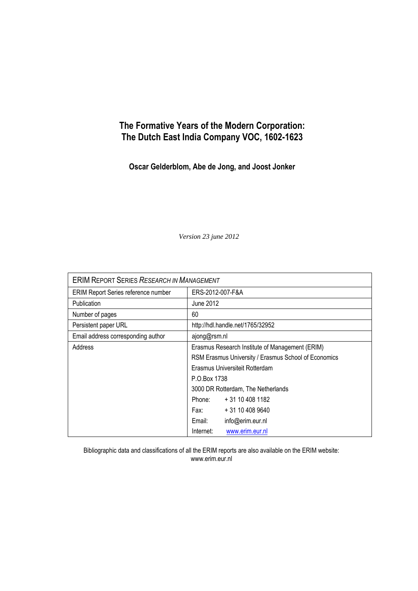# **The Formative Years of the Modern Corporation: The Dutch East India Company VOC, 1602-1623**

**Oscar Gelderblom, Abe de Jong, and Joost Jonker**

*Version 23 june 2012*

| <b>ERIM REPORT SERIES RESEARCH IN MANAGEMENT</b> |                                                                                                      |                                                      |
|--------------------------------------------------|------------------------------------------------------------------------------------------------------|------------------------------------------------------|
| ERIM Report Series reference number              | ERS-2012-007-F&A                                                                                     |                                                      |
| <b>Publication</b>                               | June 2012                                                                                            |                                                      |
| Number of pages                                  | 60                                                                                                   |                                                      |
| Persistent paper URL                             |                                                                                                      | http://hdl.handle.net/1765/32952                     |
| Email address corresponding author               | ajong@rsm.nl                                                                                         |                                                      |
| Address                                          |                                                                                                      | Erasmus Research Institute of Management (ERIM)      |
|                                                  |                                                                                                      | RSM Erasmus University / Erasmus School of Economics |
|                                                  |                                                                                                      | Erasmus Universiteit Rotterdam                       |
|                                                  | P.O.Box 1738                                                                                         |                                                      |
|                                                  |                                                                                                      | 3000 DR Rotterdam, The Netherlands                   |
|                                                  | Phone:                                                                                               | + 31 10 408 1182                                     |
|                                                  | Fax: The Fax State State State State State State State State State State State State State State Sta | + 31 10 408 9640                                     |
|                                                  | Email:                                                                                               | info@erim.eur.nl                                     |
|                                                  | Internet:                                                                                            | www.erim.eur.nl                                      |

Bibliographic data and classifications of all the ERIM reports are also available on the ERIM website: www.erim.eur.nl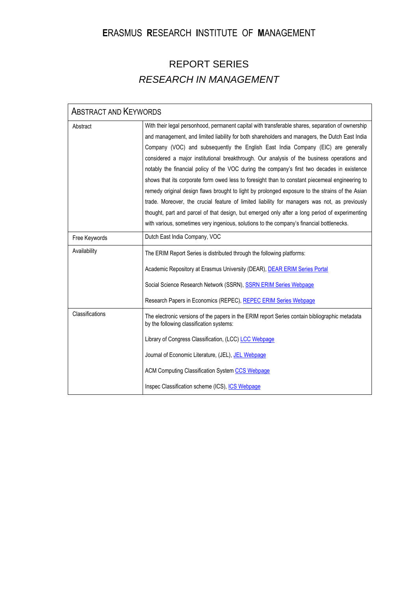# **E**RASMUS **R**ESEARCH **I**NSTITUTE OF **M**ANAGEMENT

# REPORT SERIES *RESEARCH IN MANAGEMENT*

| <b>ABSTRACT AND KEYWORDS</b> |                                                                                                                                                                                                                                                                                                                                                                                                                                                                                                                                                                                                                                                                                                                                                                                                                                                                                                                                                                                           |
|------------------------------|-------------------------------------------------------------------------------------------------------------------------------------------------------------------------------------------------------------------------------------------------------------------------------------------------------------------------------------------------------------------------------------------------------------------------------------------------------------------------------------------------------------------------------------------------------------------------------------------------------------------------------------------------------------------------------------------------------------------------------------------------------------------------------------------------------------------------------------------------------------------------------------------------------------------------------------------------------------------------------------------|
| Abstract                     | With their legal personhood, permanent capital with transferable shares, separation of ownership<br>and management, and limited liability for both shareholders and managers, the Dutch East India<br>Company (VOC) and subsequently the English East India Company (EIC) are generally<br>considered a major institutional breakthrough. Our analysis of the business operations and<br>notably the financial policy of the VOC during the company's first two decades in existence<br>shows that its corporate form owed less to foresight than to constant piecemeal engineering to<br>remedy original design flaws brought to light by prolonged exposure to the strains of the Asian<br>trade. Moreover, the crucial feature of limited liability for managers was not, as previously<br>thought, part and parcel of that design, but emerged only after a long period of experimenting<br>with various, sometimes very ingenious, solutions to the company's financial bottlenecks. |
| Free Keywords                | Dutch East India Company, VOC                                                                                                                                                                                                                                                                                                                                                                                                                                                                                                                                                                                                                                                                                                                                                                                                                                                                                                                                                             |
| Availability                 | The ERIM Report Series is distributed through the following platforms:<br>Academic Repository at Erasmus University (DEAR), DEAR ERIM Series Portal<br>Social Science Research Network (SSRN), SSRN ERIM Series Webpage<br>Research Papers in Economics (REPEC), REPEC ERIM Series Webpage                                                                                                                                                                                                                                                                                                                                                                                                                                                                                                                                                                                                                                                                                                |
| Classifications              | The electronic versions of the papers in the ERIM report Series contain bibliographic metadata<br>by the following classification systems:<br>Library of Congress Classification, (LCC) LCC Webpage<br>Journal of Economic Literature, (JEL), JEL Webpage<br><b>ACM Computing Classification System CCS Webpage</b><br>Inspec Classification scheme (ICS), ICS Webpage                                                                                                                                                                                                                                                                                                                                                                                                                                                                                                                                                                                                                    |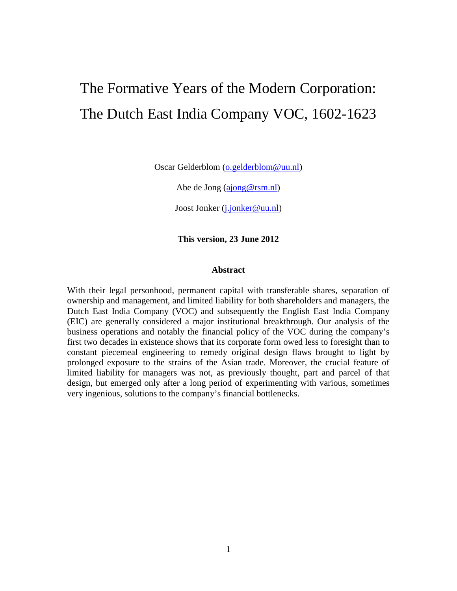# The Formative Years of the Modern Corporation: The Dutch East India Company VOC, 1602-1623

Oscar Gelderblom [\(o.gelderblom@uu.nl\)](mailto:o.gelderblom@uu.nl)

Abe de Jong [\(ajong@rsm.nl\)](mailto:ajong@rsm.nl)

Joost Jonker [\(j.jonker@uu.nl\)](mailto:j.jonker@uu.nl)

**This version, 23 June 2012**

#### **Abstract**

<span id="page-2-0"></span>With their legal personhood, permanent capital with transferable shares, separation of ownership and management, and limited liability for both shareholders and managers, the Dutch East India Company (VOC) and subsequently the English East India Company (EIC) are generally considered a major institutional breakthrough. Our analysis of the business operations and notably the financial policy of the VOC during the company's first two decades in existence shows that its corporate form owed less to foresight than to constant piecemeal engineering to remedy original design flaws brought to light by prolonged exposure to the strains of the Asian trade. Moreover, the crucial feature of limited liability for managers was not, as previously thought, part and parcel of that design, but emerged only after a long period of experimenting with various, sometimes very ingenious, solutions to the company's financial bottlenecks.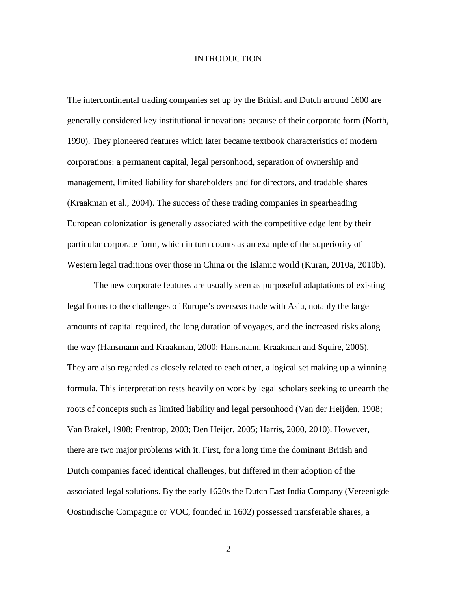#### **INTRODUCTION**

The intercontinental trading companies set up by the British and Dutch around 1600 are generally considered key institutional innovations because of their corporate form (North, 1990). They pioneered features which later became textbook characteristics of modern corporations: a permanent capital, legal personhood, separation of ownership and management, limited liability for shareholders and for directors, and tradable shares (Kraakman et al., 2004). The success of these trading companies in spearheading European colonization is generally associated with the competitive edge lent by their particular corporate form, which in turn counts as an example of the superiority of Western legal traditions over those in China or the Islamic world (Kuran, 2010a, 2010b).

The new corporate features are usually seen as purposeful adaptations of existing legal forms to the challenges of Europe's overseas trade with Asia, notably the large amounts of capital required, the long duration of voyages, and the increased risks along the way (Hansmann and Kraakman, 2000; Hansmann, Kraakman and Squire, 2006). They are also regarded as closely related to each other, a logical set making up a winning formula. This interpretation rests heavily on work by legal scholars seeking to unearth the roots of concepts such as limited liability and legal personhood (Van der Heijden, 1908; Van Brakel, 1908; Frentrop, 2003; Den Heijer, 2005; Harris, 2000, 2010). However, there are two major problems with it. First, for a long time the dominant British and Dutch companies faced identical challenges, but differed in their adoption of the associated legal solutions. By the early 1620s the Dutch East India Company (Vereenigde Oostindische Compagnie or VOC, founded in 1602) possessed transferable shares, a

2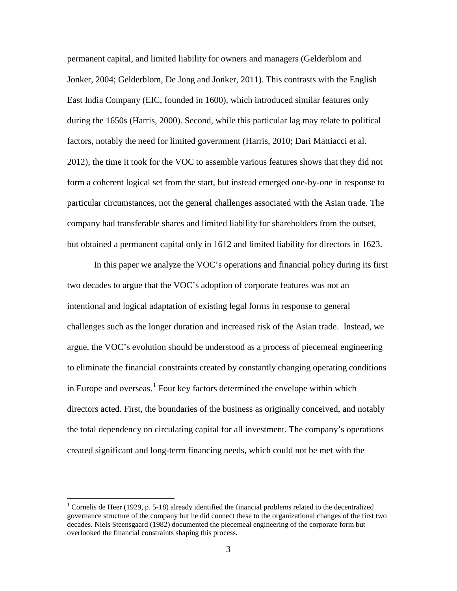permanent capital, and limited liability for owners and managers (Gelderblom and Jonker, 2004; Gelderblom, De Jong and Jonker, 2011). This contrasts with the English East India Company (EIC, founded in 1600), which introduced similar features only during the 1650s (Harris, 2000). Second, while this particular lag may relate to political factors, notably the need for limited government (Harris, 2010; Dari Mattiacci et al. 2012), the time it took for the VOC to assemble various features shows that they did not form a coherent logical set from the start, but instead emerged one-by-one in response to particular circumstances, not the general challenges associated with the Asian trade. The company had transferable shares and limited liability for shareholders from the outset, but obtained a permanent capital only in 1612 and limited liability for directors in 1623.

In this paper we analyze the VOC's operations and financial policy during its first two decades to argue that the VOC's adoption of corporate features was not an intentional and logical adaptation of existing legal forms in response to general challenges such as the longer duration and increased risk of the Asian trade. Instead, we argue, the VOC's evolution should be understood as a process of piecemeal engineering to eliminate the financial constraints created by constantly changing operating conditions in Europe and overseas.<sup>[1](#page-2-0)</sup> Four key factors determined the envelope within which directors acted. First, the boundaries of the business as originally conceived, and notably the total dependency on circulating capital for all investment. The company's operations created significant and long-term financing needs, which could not be met with the

<span id="page-4-0"></span><sup>&</sup>lt;sup>1</sup> Cornelis de Heer (1929, p. 5-18) already identified the financial problems related to the decentralized governance structure of the company but he did connect these to the organizational changes of the first two decades. Niels Steensgaard (1982) documented the piecemeal engineering of the corporate form but overlooked the financial constraints shaping this process.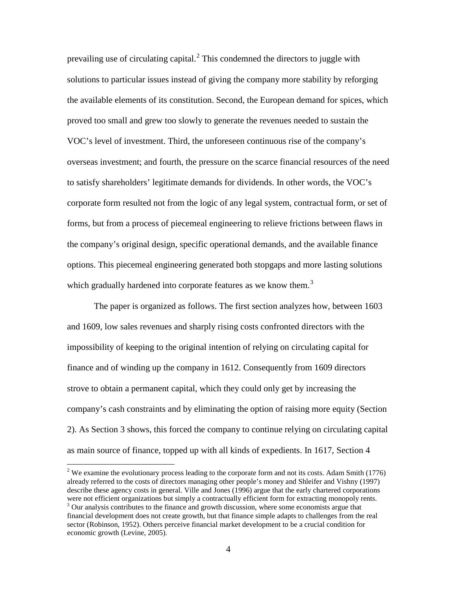prevailing use of circulating capital.<sup>[2](#page-4-0)</sup> This condemned the directors to juggle with solutions to particular issues instead of giving the company more stability by reforging the available elements of its constitution. Second, the European demand for spices, which proved too small and grew too slowly to generate the revenues needed to sustain the VOC's level of investment. Third, the unforeseen continuous rise of the company's overseas investment; and fourth, the pressure on the scarce financial resources of the need to satisfy shareholders' legitimate demands for dividends. In other words, the VOC's corporate form resulted not from the logic of any legal system, contractual form, or set of forms, but from a process of piecemeal engineering to relieve frictions between flaws in the company's original design, specific operational demands, and the available finance options. This piecemeal engineering generated both stopgaps and more lasting solutions which gradually hardened into corporate features as we know them.<sup>[3](#page-5-0)</sup>

The paper is organized as follows. The first section analyzes how, between 1603 and 1609, low sales revenues and sharply rising costs confronted directors with the impossibility of keeping to the original intention of relying on circulating capital for finance and of winding up the company in 1612. Consequently from 1609 directors strove to obtain a permanent capital, which they could only get by increasing the company's cash constraints and by eliminating the option of raising more equity (Section 2). As Section 3 shows, this forced the company to continue relying on circulating capital as main source of finance, topped up with all kinds of expedients. In 1617, Section 4

<span id="page-5-1"></span><span id="page-5-0"></span><sup>&</sup>lt;sup>2</sup> We examine the evolutionary process leading to the corporate form and not its costs. Adam Smith (1776) already referred to the costs of directors managing other people's money and Shleifer and Vishny (1997) describe these agency costs in general. Ville and Jones (1996) argue that the early chartered corporations were not efficient organizations but simply a contractually efficient form for extracting monopoly rents. <sup>3</sup> Our analysis contributes to the finance and growth discussion, where some economists argue that financial development does not create growth, but that finance simple adapts to challenges from the real sector (Robinson, 1952). Others perceive financial market development to be a crucial condition for economic growth (Levine, 2005).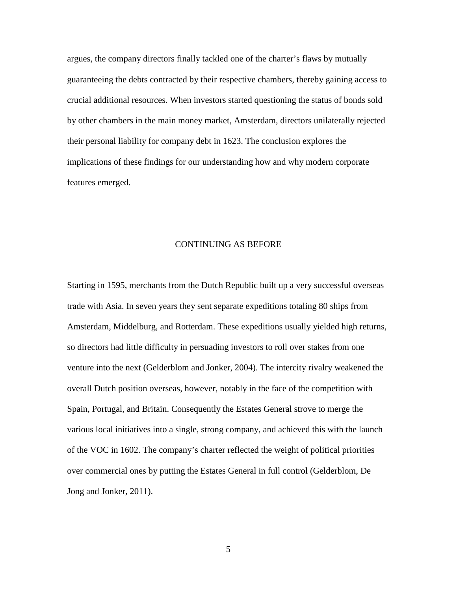argues, the company directors finally tackled one of the charter's flaws by mutually guaranteeing the debts contracted by their respective chambers, thereby gaining access to crucial additional resources. When investors started questioning the status of bonds sold by other chambers in the main money market, Amsterdam, directors unilaterally rejected their personal liability for company debt in 1623. The conclusion explores the implications of these findings for our understanding how and why modern corporate features emerged.

#### CONTINUING AS BEFORE

Starting in 1595, merchants from the Dutch Republic built up a very successful overseas trade with Asia. In seven years they sent separate expeditions totaling 80 ships from Amsterdam, Middelburg, and Rotterdam. These expeditions usually yielded high returns, so directors had little difficulty in persuading investors to roll over stakes from one venture into the next (Gelderblom and Jonker, 2004). The intercity rivalry weakened the overall Dutch position overseas, however, notably in the face of the competition with Spain, Portugal, and Britain. Consequently the Estates General strove to merge the various local initiatives into a single, strong company, and achieved this with the launch of the VOC in 1602. The company's charter reflected the weight of political priorities over commercial ones by putting the Estates General in full control (Gelderblom, De Jong and Jonker, 2011).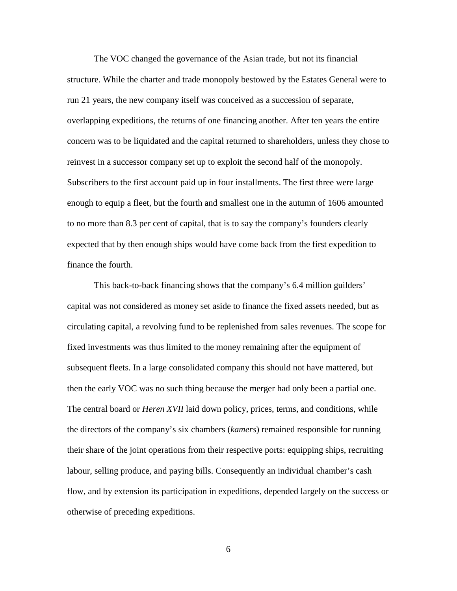The VOC changed the governance of the Asian trade, but not its financial structure. While the charter and trade monopoly bestowed by the Estates General were to run 21 years, the new company itself was conceived as a succession of separate, overlapping expeditions, the returns of one financing another. After ten years the entire concern was to be liquidated and the capital returned to shareholders, unless they chose to reinvest in a successor company set up to exploit the second half of the monopoly. Subscribers to the first account paid up in four installments. The first three were large enough to equip a fleet, but the fourth and smallest one in the autumn of 1606 amounted to no more than 8.3 per cent of capital, that is to say the company's founders clearly expected that by then enough ships would have come back from the first expedition to finance the fourth.

This back-to-back financing shows that the company's 6.4 million guilders' capital was not considered as money set aside to finance the fixed assets needed, but as circulating capital, a revolving fund to be replenished from sales revenues. The scope for fixed investments was thus limited to the money remaining after the equipment of subsequent fleets. In a large consolidated company this should not have mattered, but then the early VOC was no such thing because the merger had only been a partial one. The central board or *Heren XVII* laid down policy, prices, terms, and conditions, while the directors of the company's six chambers (*kamers*) remained responsible for running their share of the joint operations from their respective ports: equipping ships, recruiting labour, selling produce, and paying bills. Consequently an individual chamber's cash flow, and by extension its participation in expeditions, depended largely on the success or otherwise of preceding expeditions.

6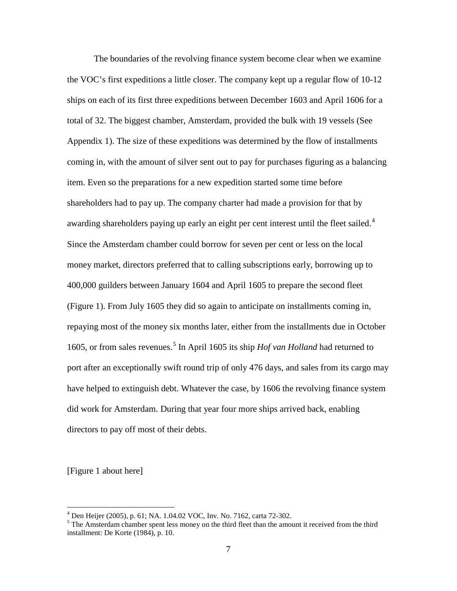The boundaries of the revolving finance system become clear when we examine the VOC's first expeditions a little closer. The company kept up a regular flow of 10-12 ships on each of its first three expeditions between December 1603 and April 1606 for a total of 32. The biggest chamber, Amsterdam, provided the bulk with 19 vessels (See Appendix 1). The size of these expeditions was determined by the flow of installments coming in, with the amount of silver sent out to pay for purchases figuring as a balancing item. Even so the preparations for a new expedition started some time before shareholders had to pay up. The company charter had made a provision for that by awarding shareholders paying up early an eight per cent interest until the fleet sailed.<sup>[4](#page-5-1)</sup> Since the Amsterdam chamber could borrow for seven per cent or less on the local money market, directors preferred that to calling subscriptions early, borrowing up to 400,000 guilders between January 1604 and April 1605 to prepare the second fleet (Figure 1). From July 1605 they did so again to anticipate on installments coming in, repaying most of the money six months later, either from the installments due in October 1605, or from sales revenues. [5](#page-8-0) In April 1605 its ship *Hof van Holland* had returned to port after an exceptionally swift round trip of only 476 days, and sales from its cargo may have helped to extinguish debt. Whatever the case, by 1606 the revolving finance system did work for Amsterdam. During that year four more ships arrived back, enabling directors to pay off most of their debts.

[Figure 1 about here]

<span id="page-8-1"></span><span id="page-8-0"></span> $^{4}$  Den Heijer (2005), p. 61; NA. 1.04.02 VOC, Inv. No. 7162, carta 72-302.<br><sup>5</sup> The Amsterdam chamber spent less money on the third fleet than the amount it received from the third installment: De Korte (1984), p. 10.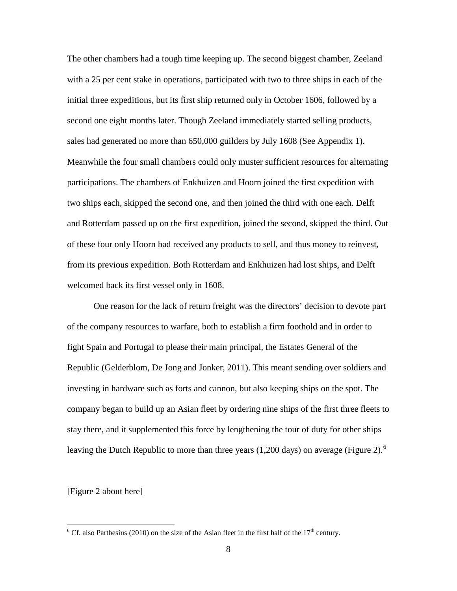The other chambers had a tough time keeping up. The second biggest chamber, Zeeland with a 25 per cent stake in operations, participated with two to three ships in each of the initial three expeditions, but its first ship returned only in October 1606, followed by a second one eight months later. Though Zeeland immediately started selling products, sales had generated no more than 650,000 guilders by July 1608 (See Appendix 1). Meanwhile the four small chambers could only muster sufficient resources for alternating participations. The chambers of Enkhuizen and Hoorn joined the first expedition with two ships each, skipped the second one, and then joined the third with one each. Delft and Rotterdam passed up on the first expedition, joined the second, skipped the third. Out of these four only Hoorn had received any products to sell, and thus money to reinvest, from its previous expedition. Both Rotterdam and Enkhuizen had lost ships, and Delft welcomed back its first vessel only in 1608.

One reason for the lack of return freight was the directors' decision to devote part of the company resources to warfare, both to establish a firm foothold and in order to fight Spain and Portugal to please their main principal, the Estates General of the Republic (Gelderblom, De Jong and Jonker, 2011). This meant sending over soldiers and investing in hardware such as forts and cannon, but also keeping ships on the spot. The company began to build up an Asian fleet by ordering nine ships of the first three fleets to stay there, and it supplemented this force by lengthening the tour of duty for other ships leaving the Dutch Republic to more than three years  $(1,200 \text{ days})$  on average (Figure 2).<sup>[6](#page-8-1)</sup>

<span id="page-9-0"></span>[Figure 2 about here]

<sup>&</sup>lt;sup>6</sup> Cf. also Parthesius (2010) on the size of the Asian fleet in the first half of the  $17<sup>th</sup>$  century.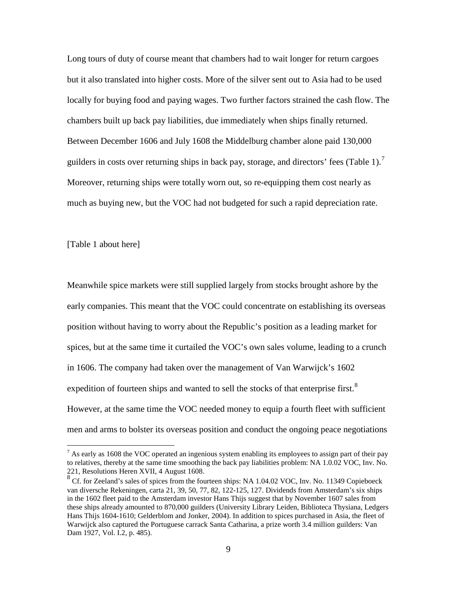Long tours of duty of course meant that chambers had to wait longer for return cargoes but it also translated into higher costs. More of the silver sent out to Asia had to be used locally for buying food and paying wages. Two further factors strained the cash flow. The chambers built up back pay liabilities, due immediately when ships finally returned. Between December 1606 and July 1608 the Middelburg chamber alone paid 130,000 guilders in costs over returning ships in back pay, storage, and directors' fees (Table 1).<sup>[7](#page-9-0)</sup> Moreover, returning ships were totally worn out, so re-equipping them cost nearly as much as buying new, but the VOC had not budgeted for such a rapid depreciation rate.

[Table 1 about here]

Meanwhile spice markets were still supplied largely from stocks brought ashore by the early companies. This meant that the VOC could concentrate on establishing its overseas position without having to worry about the Republic's position as a leading market for spices, but at the same time it curtailed the VOC's own sales volume, leading to a crunch in 1606. The company had taken over the management of Van Warwijck's 1602 expedition of fourteen ships and wanted to sell the stocks of that enterprise first.<sup>[8](#page-10-0)</sup> However, at the same time the VOC needed money to equip a fourth fleet with sufficient men and arms to bolster its overseas position and conduct the ongoing peace negotiations

<span id="page-10-1"></span> $^7$  As early as 1608 the VOC operated an ingenious system enabling its employees to assign part of their pay to relatives, thereby at the same time smoothing the back pay liabilities problem: NA 1.0.02 VOC, Inv. No. 221, Resolutions Heren XVII, 4 August 1608.<br><sup>8</sup> Cf. for Zeeland's sales of spices from the fourteen ships: NA 1.04.02 VOC, Inv. No. 11349 Copieboeck

<span id="page-10-0"></span>van diversche Rekeningen, carta 21, 39, 50, 77, 82, 122-125, 127. Dividends from Amsterdam's six ships in the 1602 fleet paid to the Amsterdam investor Hans Thijs suggest that by November 1607 sales from these ships already amounted to 870,000 guilders (University Library Leiden, Biblioteca Thysiana, Ledgers Hans Thijs 1604-1610; Gelderblom and Jonker, 2004). In addition to spices purchased in Asia, the fleet of Warwijck also captured the Portuguese carrack Santa Catharina, a prize worth 3.4 million guilders: Van Dam 1927, Vol. I.2, p. 485).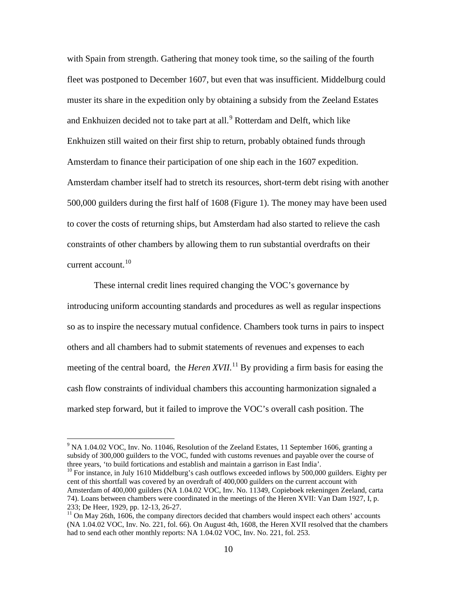with Spain from strength. Gathering that money took time, so the sailing of the fourth fleet was postponed to December 1607, but even that was insufficient. Middelburg could muster its share in the expedition only by obtaining a subsidy from the Zeeland Estates and Enkhuizen decided not to take part at all.<sup>[9](#page-10-1)</sup> Rotterdam and Delft, which like Enkhuizen still waited on their first ship to return, probably obtained funds through Amsterdam to finance their participation of one ship each in the 1607 expedition. Amsterdam chamber itself had to stretch its resources, short-term debt rising with another 500,000 guilders during the first half of 1608 (Figure 1). The money may have been used to cover the costs of returning ships, but Amsterdam had also started to relieve the cash constraints of other chambers by allowing them to run substantial overdrafts on their current account.<sup>[10](#page-11-0)</sup>

These internal credit lines required changing the VOC's governance by introducing uniform accounting standards and procedures as well as regular inspections so as to inspire the necessary mutual confidence. Chambers took turns in pairs to inspect others and all chambers had to submit statements of revenues and expenses to each meeting of the central board, the *Heren XVII*.<sup>[11](#page-11-1)</sup> By providing a firm basis for easing the cash flow constraints of individual chambers this accounting harmonization signaled a marked step forward, but it failed to improve the VOC's overall cash position. The

<sup>&</sup>lt;sup>9</sup> NA 1.04.02 VOC, Inv. No. 11046, Resolution of the Zeeland Estates, 11 September 1606, granting a subsidy of 300,000 guilders to the VOC, funded with customs revenues and payable over the course of three years, 'to build fortications and establish and maintain a garrison in East India'.

<span id="page-11-0"></span><sup>&</sup>lt;sup>10</sup> For instance, in July 1610 Middelburg's cash outflows exceeded inflows by 500,000 guilders. Eighty per cent of this shortfall was covered by an overdraft of 400,000 guilders on the current account with Amsterdam of 400,000 guilders (NA 1.04.02 VOC, Inv. No. 11349, Copieboek rekeningen Zeeland, carta 74). Loans between chambers were coordinated in the meetings of the Heren XVII: Van Dam 1927, I, p. 233; De Heer, 1929, pp. 12-13, 26-27.<br><sup>11</sup> On May 26th, 1606, the company directors decided that chambers would inspect each others' accounts

<span id="page-11-2"></span><span id="page-11-1"></span><sup>(</sup>NA 1.04.02 VOC, Inv. No. 221, fol. 66). On August 4th, 1608, the Heren XVII resolved that the chambers had to send each other monthly reports: NA 1.04.02 VOC, Inv. No. 221, fol. 253.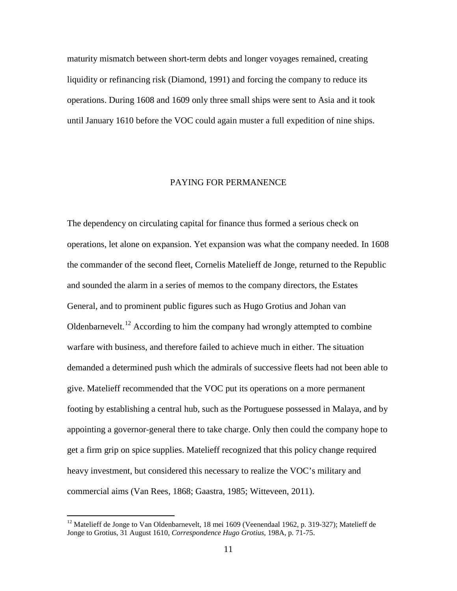maturity mismatch between short-term debts and longer voyages remained, creating liquidity or refinancing risk (Diamond, 1991) and forcing the company to reduce its operations. During 1608 and 1609 only three small ships were sent to Asia and it took until January 1610 before the VOC could again muster a full expedition of nine ships.

#### PAYING FOR PERMANENCE

The dependency on circulating capital for finance thus formed a serious check on operations, let alone on expansion. Yet expansion was what the company needed. In 1608 the commander of the second fleet, Cornelis Matelieff de Jonge, returned to the Republic and sounded the alarm in a series of memos to the company directors, the Estates General, and to prominent public figures such as Hugo Grotius and Johan van Oldenbarnevelt.<sup>[12](#page-11-2)</sup> According to him the company had wrongly attempted to combine warfare with business, and therefore failed to achieve much in either. The situation demanded a determined push which the admirals of successive fleets had not been able to give. Matelieff recommended that the VOC put its operations on a more permanent footing by establishing a central hub, such as the Portuguese possessed in Malaya, and by appointing a governor-general there to take charge. Only then could the company hope to get a firm grip on spice supplies. Matelieff recognized that this policy change required heavy investment, but considered this necessary to realize the VOC's military and commercial aims (Van Rees, 1868; Gaastra, 1985; Witteveen, 2011).

<span id="page-12-0"></span><sup>&</sup>lt;sup>12</sup> Matelieff de Jonge to Van Oldenbarnevelt, 18 mei 1609 (Veenendaal 1962, p. 319-327); Matelieff de Jonge to Grotius, 31 August 1610, *Correspondence Hugo Grotius*, 198A, p. 71-75.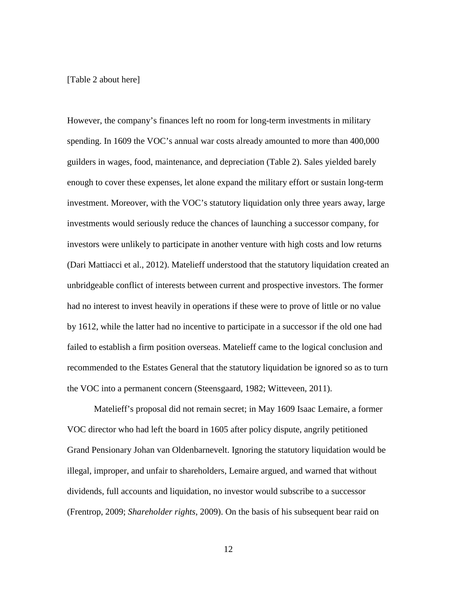#### [Table 2 about here]

However, the company's finances left no room for long-term investments in military spending. In 1609 the VOC's annual war costs already amounted to more than 400,000 guilders in wages, food, maintenance, and depreciation (Table 2). Sales yielded barely enough to cover these expenses, let alone expand the military effort or sustain long-term investment. Moreover, with the VOC's statutory liquidation only three years away, large investments would seriously reduce the chances of launching a successor company, for investors were unlikely to participate in another venture with high costs and low returns (Dari Mattiacci et al., 2012). Matelieff understood that the statutory liquidation created an unbridgeable conflict of interests between current and prospective investors. The former had no interest to invest heavily in operations if these were to prove of little or no value by 1612, while the latter had no incentive to participate in a successor if the old one had failed to establish a firm position overseas. Matelieff came to the logical conclusion and recommended to the Estates General that the statutory liquidation be ignored so as to turn the VOC into a permanent concern (Steensgaard, 1982; Witteveen, 2011).

Matelieff's proposal did not remain secret; in May 1609 Isaac Lemaire, a former VOC director who had left the board in 1605 after policy dispute, angrily petitioned Grand Pensionary Johan van Oldenbarnevelt. Ignoring the statutory liquidation would be illegal, improper, and unfair to shareholders, Lemaire argued, and warned that without dividends, full accounts and liquidation, no investor would subscribe to a successor (Frentrop, 2009; *Shareholder rights*, 2009). On the basis of his subsequent bear raid on

12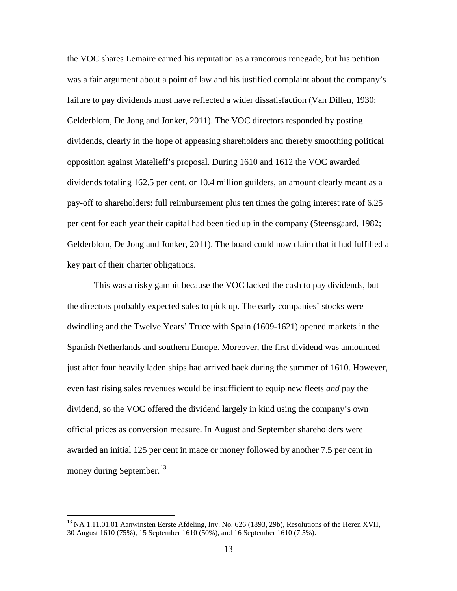the VOC shares Lemaire earned his reputation as a rancorous renegade, but his petition was a fair argument about a point of law and his justified complaint about the company's failure to pay dividends must have reflected a wider dissatisfaction (Van Dillen, 1930; Gelderblom, De Jong and Jonker, 2011). The VOC directors responded by posting dividends, clearly in the hope of appeasing shareholders and thereby smoothing political opposition against Matelieff's proposal. During 1610 and 1612 the VOC awarded dividends totaling 162.5 per cent, or 10.4 million guilders, an amount clearly meant as a pay-off to shareholders: full reimbursement plus ten times the going interest rate of 6.25 per cent for each year their capital had been tied up in the company (Steensgaard, 1982; Gelderblom, De Jong and Jonker, 2011). The board could now claim that it had fulfilled a key part of their charter obligations.

This was a risky gambit because the VOC lacked the cash to pay dividends, but the directors probably expected sales to pick up. The early companies' stocks were dwindling and the Twelve Years' Truce with Spain (1609-1621) opened markets in the Spanish Netherlands and southern Europe. Moreover, the first dividend was announced just after four heavily laden ships had arrived back during the summer of 1610. However, even fast rising sales revenues would be insufficient to equip new fleets *and* pay the dividend, so the VOC offered the dividend largely in kind using the company's own official prices as conversion measure. In August and September shareholders were awarded an initial 125 per cent in mace or money followed by another 7.5 per cent in money during September.<sup>[13](#page-12-0)</sup>

<span id="page-14-0"></span> $^{13}$  NA 1.11.01.01 Aanwinsten Eerste Afdeling, Inv. No. 626 (1893, 29b), Resolutions of the Heren XVII, 30 August 1610 (75%), 15 September 1610 (50%), and 16 September 1610 (7.5%).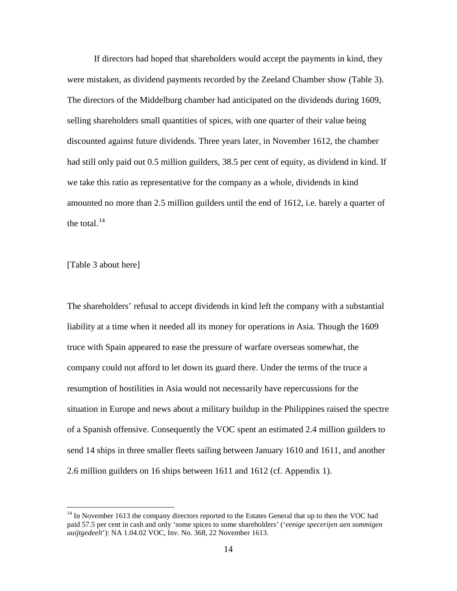If directors had hoped that shareholders would accept the payments in kind, they were mistaken, as dividend payments recorded by the Zeeland Chamber show (Table 3). The directors of the Middelburg chamber had anticipated on the dividends during 1609, selling shareholders small quantities of spices, with one quarter of their value being discounted against future dividends. Three years later, in November 1612, the chamber had still only paid out 0.5 million guilders, 38.5 per cent of equity, as dividend in kind. If we take this ratio as representative for the company as a whole, dividends in kind amounted no more than 2.5 million guilders until the end of 1612, i.e. barely a quarter of the total. $14$ 

[Table 3 about here]

The shareholders' refusal to accept dividends in kind left the company with a substantial liability at a time when it needed all its money for operations in Asia. Though the 1609 truce with Spain appeared to ease the pressure of warfare overseas somewhat, the company could not afford to let down its guard there. Under the terms of the truce a resumption of hostilities in Asia would not necessarily have repercussions for the situation in Europe and news about a military buildup in the Philippines raised the spectre of a Spanish offensive. Consequently the VOC spent an estimated 2.4 million guilders to send 14 ships in three smaller fleets sailing between January 1610 and 1611, and another 2.6 million guilders on 16 ships between 1611 and 1612 (cf. Appendix 1).

<span id="page-15-0"></span><sup>&</sup>lt;sup>14</sup> In November 1613 the company directors reported to the Estates General that up to then the VOC had paid 57.5 per cent in cash and only 'some spices to some shareholders' ('*eenige specerijen aen sommigen uuijtgedeelt*'): NA 1.04.02 VOC, Inv. No. 368, 22 November 1613.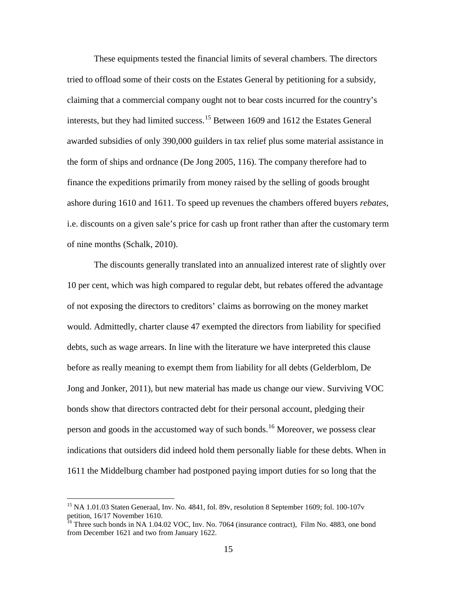These equipments tested the financial limits of several chambers. The directors tried to offload some of their costs on the Estates General by petitioning for a subsidy, claiming that a commercial company ought not to bear costs incurred for the country's interests, but they had limited success.[15](#page-15-0) Between 1609 and 1612 the Estates General awarded subsidies of only 390,000 guilders in tax relief plus some material assistance in the form of ships and ordnance (De Jong 2005, 116). The company therefore had to finance the expeditions primarily from money raised by the selling of goods brought ashore during 1610 and 1611. To speed up revenues the chambers offered buyers *rebates*, i.e. discounts on a given sale's price for cash up front rather than after the customary term of nine months (Schalk, 2010).

The discounts generally translated into an annualized interest rate of slightly over 10 per cent, which was high compared to regular debt, but rebates offered the advantage of not exposing the directors to creditors' claims as borrowing on the money market would. Admittedly, charter clause 47 exempted the directors from liability for specified debts, such as wage arrears. In line with the literature we have interpreted this clause before as really meaning to exempt them from liability for all debts (Gelderblom, De Jong and Jonker, 2011), but new material has made us change our view. Surviving VOC bonds show that directors contracted debt for their personal account, pledging their person and goods in the accustomed way of such bonds.[16](#page-16-0) Moreover, we possess clear indications that outsiders did indeed hold them personally liable for these debts. When in 1611 the Middelburg chamber had postponed paying import duties for so long that the

<span id="page-16-1"></span><sup>&</sup>lt;sup>15</sup> NA 1.01.03 Staten Generaal, Inv. No. 4841, fol. 89v, resolution 8 September 1609; fol. 100-107v petition, 16/17 November 1610.<br><sup>16</sup> Three such bonds in NA 1.04.02 VOC, Inv. No. 7064 (insurance contract), Film No. 4883, one bond

<span id="page-16-0"></span>from December 1621 and two from January 1622.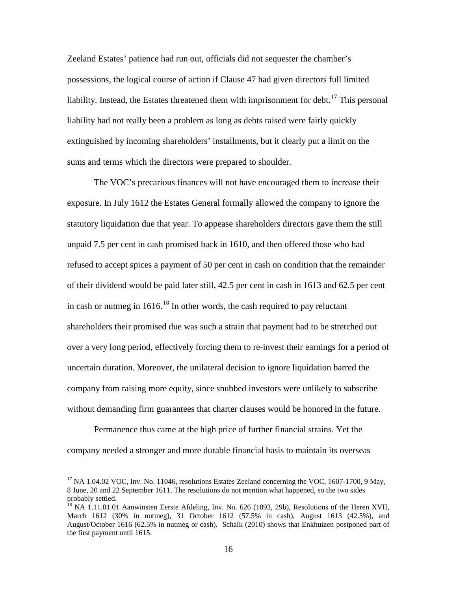Zeeland Estates' patience had run out, officials did not sequester the chamber's possessions, the logical course of action if Clause 47 had given directors full limited liability. Instead, the Estates threatened them with imprisonment for debt.<sup>[17](#page-16-1)</sup> This personal liability had not really been a problem as long as debts raised were fairly quickly extinguished by incoming shareholders' installments, but it clearly put a limit on the sums and terms which the directors were prepared to shoulder.

The VOC's precarious finances will not have encouraged them to increase their exposure. In July 1612 the Estates General formally allowed the company to ignore the statutory liquidation due that year. To appease shareholders directors gave them the still unpaid 7.5 per cent in cash promised back in 1610, and then offered those who had refused to accept spices a payment of 50 per cent in cash on condition that the remainder of their dividend would be paid later still, 42.5 per cent in cash in 1613 and 62.5 per cent in cash or nutmeg in  $1616$ <sup>[18](#page-17-0)</sup>. In other words, the cash required to pay reluctant shareholders their promised due was such a strain that payment had to be stretched out over a very long period, effectively forcing them to re-invest their earnings for a period of uncertain duration. Moreover, the unilateral decision to ignore liquidation barred the company from raising more equity, since snubbed investors were unlikely to subscribe without demanding firm guarantees that charter clauses would be honored in the future.

Permanence thus came at the high price of further financial strains. Yet the company needed a stronger and more durable financial basis to maintain its overseas

<sup>&</sup>lt;sup>17</sup> NA 1.04.02 VOC, Inv. No. 11046, resolutions Estates Zeeland concerning the VOC, 1607-1700, 9 May, 8 June, 20 and 22 September 1611. The resolutions do not mention what happened, so the two sides probably settled.

<span id="page-17-1"></span><span id="page-17-0"></span><sup>&</sup>lt;sup>18</sup> NA 1.11.01.01 Aanwinsten Eerste Afdeling, Inv. No. 626 (1893, 29b), Resolutions of the Heren XVII, March 1612 (30% in nutmeg), 31 October 1612 (57.5% in cash), August 1613 (42.5%), and August/October 1616 (62.5% in nutmeg or cash). Schalk (2010) shows that Enkhuizen postponed part of the first payment until 1615.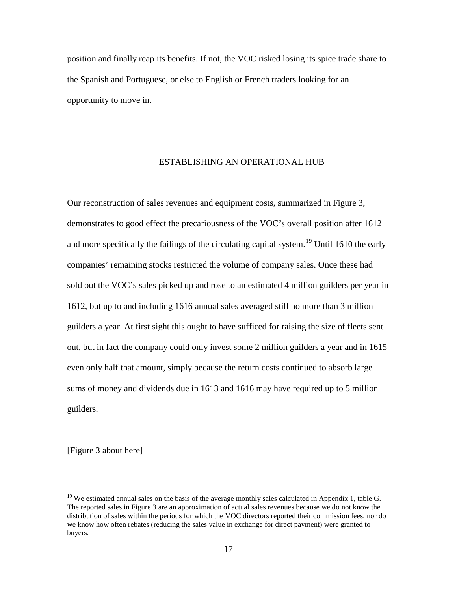position and finally reap its benefits. If not, the VOC risked losing its spice trade share to the Spanish and Portuguese, or else to English or French traders looking for an opportunity to move in.

#### ESTABLISHING AN OPERATIONAL HUB

Our reconstruction of sales revenues and equipment costs, summarized in Figure 3, demonstrates to good effect the precariousness of the VOC's overall position after 1612 and more specifically the failings of the circulating capital system.<sup>[19](#page-17-1)</sup> Until 1610 the early companies' remaining stocks restricted the volume of company sales. Once these had sold out the VOC's sales picked up and rose to an estimated 4 million guilders per year in 1612, but up to and including 1616 annual sales averaged still no more than 3 million guilders a year. At first sight this ought to have sufficed for raising the size of fleets sent out, but in fact the company could only invest some 2 million guilders a year and in 1615 even only half that amount, simply because the return costs continued to absorb large sums of money and dividends due in 1613 and 1616 may have required up to 5 million guilders.

[Figure 3 about here]

<span id="page-18-0"></span><sup>&</sup>lt;sup>19</sup> We estimated annual sales on the basis of the average monthly sales calculated in Appendix 1, table G. The reported sales in Figure 3 are an approximation of actual sales revenues because we do not know the distribution of sales within the periods for which the VOC directors reported their commission fees, nor do we know how often rebates (reducing the sales value in exchange for direct payment) were granted to buyers.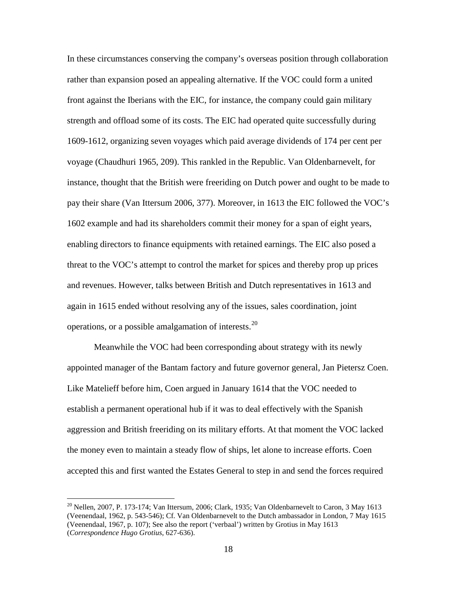In these circumstances conserving the company's overseas position through collaboration rather than expansion posed an appealing alternative. If the VOC could form a united front against the Iberians with the EIC, for instance, the company could gain military strength and offload some of its costs. The EIC had operated quite successfully during 1609-1612, organizing seven voyages which paid average dividends of 174 per cent per voyage (Chaudhuri 1965, 209). This rankled in the Republic. Van Oldenbarnevelt, for instance, thought that the British were freeriding on Dutch power and ought to be made to pay their share (Van Ittersum 2006, 377). Moreover, in 1613 the EIC followed the VOC's 1602 example and had its shareholders commit their money for a span of eight years, enabling directors to finance equipments with retained earnings. The EIC also posed a threat to the VOC's attempt to control the market for spices and thereby prop up prices and revenues. However, talks between British and Dutch representatives in 1613 and again in 1615 ended without resolving any of the issues, sales coordination, joint operations, or a possible amalgamation of interests.[20](#page-18-0)

Meanwhile the VOC had been corresponding about strategy with its newly appointed manager of the Bantam factory and future governor general, Jan Pietersz Coen. Like Matelieff before him, Coen argued in January 1614 that the VOC needed to establish a permanent operational hub if it was to deal effectively with the Spanish aggression and British freeriding on its military efforts. At that moment the VOC lacked the money even to maintain a steady flow of ships, let alone to increase efforts. Coen accepted this and first wanted the Estates General to step in and send the forces required

<span id="page-19-0"></span><sup>&</sup>lt;sup>20</sup> Nellen, 2007, P. 173-174; Van Ittersum, 2006; Clark, 1935; Van Oldenbarnevelt to Caron, 3 May 1613 (Veenendaal, 1962, p. 543-546); Cf. Van Oldenbarnevelt to the Dutch ambassador in London, 7 May 1615 (Veenendaal, 1967, p. 107); See also the report ('verbaal') written by Grotius in May 1613 (*Correspondence Hugo Grotius*, 627-636).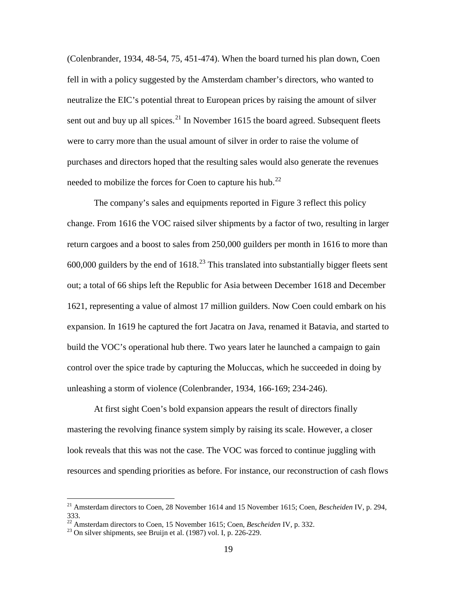(Colenbrander, 1934, 48-54, 75, 451-474). When the board turned his plan down, Coen fell in with a policy suggested by the Amsterdam chamber's directors, who wanted to neutralize the EIC's potential threat to European prices by raising the amount of silver sent out and buy up all spices. $^{21}$  $^{21}$  $^{21}$  In November 1615 the board agreed. Subsequent fleets were to carry more than the usual amount of silver in order to raise the volume of purchases and directors hoped that the resulting sales would also generate the revenues needed to mobilize the forces for Coen to capture his hub.<sup>[22](#page-20-0)</sup>

The company's sales and equipments reported in Figure 3 reflect this policy change. From 1616 the VOC raised silver shipments by a factor of two, resulting in larger return cargoes and a boost to sales from 250,000 guilders per month in 1616 to more than 600,000 guilders by the end of  $1618<sup>23</sup>$  $1618<sup>23</sup>$  $1618<sup>23</sup>$ . This translated into substantially bigger fleets sent out; a total of 66 ships left the Republic for Asia between December 1618 and December 1621, representing a value of almost 17 million guilders. Now Coen could embark on his expansion. In 1619 he captured the fort Jacatra on Java, renamed it Batavia, and started to build the VOC's operational hub there. Two years later he launched a campaign to gain control over the spice trade by capturing the Moluccas, which he succeeded in doing by unleashing a storm of violence (Colenbrander, 1934, 166-169; 234-246).

At first sight Coen's bold expansion appears the result of directors finally mastering the revolving finance system simply by raising its scale. However, a closer look reveals that this was not the case. The VOC was forced to continue juggling with resources and spending priorities as before. For instance, our reconstruction of cash flows

 <sup>21</sup> Amsterdam directors to Coen, 28 November 1614 and 15 November 1615; Coen, *Bescheiden* IV, p. 294, 333.

<span id="page-20-0"></span><sup>&</sup>lt;sup>22</sup> Amsterdam directors to Coen, 15 November 1615; Coen, *Bescheiden* IV, p. 332.<br><sup>23</sup> On silver shipments, see Bruijn et al. (1987) vol. I, p. 226-229.

<span id="page-20-1"></span>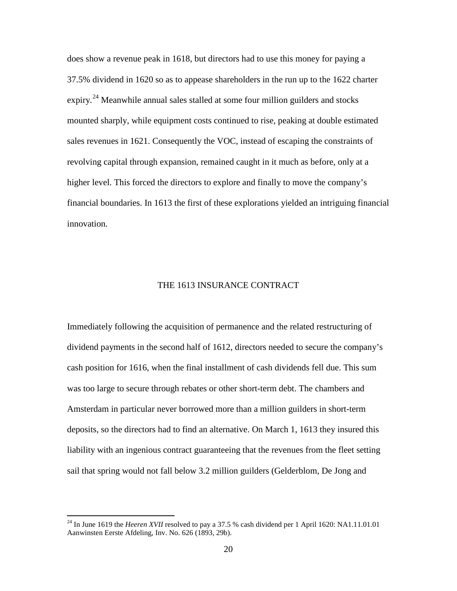does show a revenue peak in 1618, but directors had to use this money for paying a 37.5% dividend in 1620 so as to appease shareholders in the run up to the 1622 charter expiry.<sup>[24](#page-20-0)</sup> Meanwhile annual sales stalled at some four million guilders and stocks mounted sharply, while equipment costs continued to rise, peaking at double estimated sales revenues in 1621. Consequently the VOC, instead of escaping the constraints of revolving capital through expansion, remained caught in it much as before, only at a higher level. This forced the directors to explore and finally to move the company's financial boundaries. In 1613 the first of these explorations yielded an intriguing financial innovation.

#### THE 1613 INSURANCE CONTRACT

Immediately following the acquisition of permanence and the related restructuring of dividend payments in the second half of 1612, directors needed to secure the company's cash position for 1616, when the final installment of cash dividends fell due. This sum was too large to secure through rebates or other short-term debt. The chambers and Amsterdam in particular never borrowed more than a million guilders in short-term deposits, so the directors had to find an alternative. On March 1, 1613 they insured this liability with an ingenious contract guaranteeing that the revenues from the fleet setting sail that spring would not fall below 3.2 million guilders (Gelderblom, De Jong and

<span id="page-21-0"></span><sup>&</sup>lt;sup>24</sup> In June 1619 the *Heeren XVII* resolved to pay a 37.5 % cash dividend per 1 April 1620: NA1.11.01.01 Aanwinsten Eerste Afdeling, Inv. No. 626 (1893, 29b).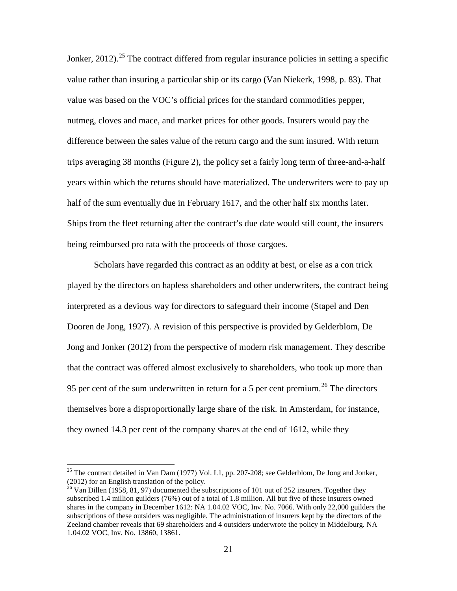Jonker, 2012).<sup>[25](#page-21-0)</sup> The contract differed from regular insurance policies in setting a specific value rather than insuring a particular ship or its cargo (Van Niekerk, 1998, p. 83). That value was based on the VOC's official prices for the standard commodities pepper, nutmeg, cloves and mace, and market prices for other goods. Insurers would pay the difference between the sales value of the return cargo and the sum insured. With return trips averaging 38 months (Figure 2), the policy set a fairly long term of three-and-a-half years within which the returns should have materialized. The underwriters were to pay up half of the sum eventually due in February 1617, and the other half six months later. Ships from the fleet returning after the contract's due date would still count, the insurers being reimbursed pro rata with the proceeds of those cargoes.

Scholars have regarded this contract as an oddity at best, or else as a con trick played by the directors on hapless shareholders and other underwriters, the contract being interpreted as a devious way for directors to safeguard their income (Stapel and Den Dooren de Jong, 1927). A revision of this perspective is provided by Gelderblom, De Jong and Jonker (2012) from the perspective of modern risk management. They describe that the contract was offered almost exclusively to shareholders, who took up more than 95 per cent of the sum underwritten in return for a 5 per cent premium.<sup>[26](#page-22-0)</sup> The directors themselves bore a disproportionally large share of the risk. In Amsterdam, for instance, they owned 14.3 per cent of the company shares at the end of 1612, while they

<span id="page-22-1"></span><sup>&</sup>lt;sup>25</sup> The contract detailed in Van Dam (1977) Vol. I.1, pp. 207-208; see Gelderblom, De Jong and Jonker, (2012) for an English translation of the policy.

<span id="page-22-0"></span> $^{26}$  Van Dillen (1958, 81, 97) documented the subscriptions of 101 out of 252 insurers. Together they subscribed 1.4 million guilders (76%) out of a total of 1.8 million. All but five of these insurers owned shares in the company in December 1612: NA 1.04.02 VOC, Inv. No. 7066. With only 22,000 guilders the subscriptions of these outsiders was negligible. The administration of insurers kept by the directors of the Zeeland chamber reveals that 69 shareholders and 4 outsiders underwrote the policy in Middelburg. NA 1.04.02 VOC, Inv. No. 13860, 13861.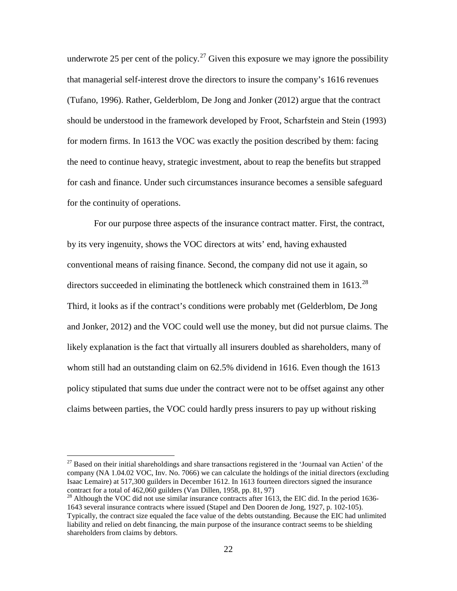underwrote 25 per cent of the policy.<sup>[27](#page-22-1)</sup> Given this exposure we may ignore the possibility that managerial self-interest drove the directors to insure the company's 1616 revenues (Tufano, 1996). Rather, Gelderblom, De Jong and Jonker (2012) argue that the contract should be understood in the framework developed by Froot, Scharfstein and Stein (1993) for modern firms. In 1613 the VOC was exactly the position described by them: facing the need to continue heavy, strategic investment, about to reap the benefits but strapped for cash and finance. Under such circumstances insurance becomes a sensible safeguard for the continuity of operations.

For our purpose three aspects of the insurance contract matter. First, the contract, by its very ingenuity, shows the VOC directors at wits' end, having exhausted conventional means of raising finance. Second, the company did not use it again, so directors succeeded in eliminating the bottleneck which constrained them in  $1613.<sup>28</sup>$  $1613.<sup>28</sup>$  $1613.<sup>28</sup>$ Third, it looks as if the contract's conditions were probably met (Gelderblom, De Jong and Jonker, 2012) and the VOC could well use the money, but did not pursue claims. The likely explanation is the fact that virtually all insurers doubled as shareholders, many of whom still had an outstanding claim on 62.5% dividend in 1616. Even though the 1613 policy stipulated that sums due under the contract were not to be offset against any other claims between parties, the VOC could hardly press insurers to pay up without risking

<span id="page-23-1"></span><sup>&</sup>lt;sup>27</sup> Based on their initial shareholdings and share transactions registered in the 'Journaal van Actien' of the company (NA 1.04.02 VOC, Inv. No. 7066) we can calculate the holdings of the initial directors (excluding Isaac Lemaire) at 517,300 guilders in December 1612. In 1613 fourteen directors signed the insurance

<span id="page-23-0"></span> $^{28}$  Although the VOC did not use similar insurance contracts after 1613, the EIC did. In the period 1636-1643 several insurance contracts where issued (Stapel and Den Dooren de Jong, 1927, p. 102-105). Typically, the contract size equaled the face value of the debts outstanding. Because the EIC had unlimited liability and relied on debt financing, the main purpose of the insurance contract seems to be shielding shareholders from claims by debtors.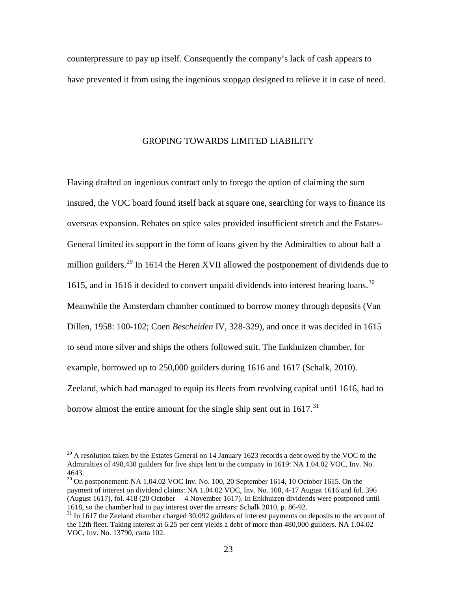counterpressure to pay up itself. Consequently the company's lack of cash appears to have prevented it from using the ingenious stopgap designed to relieve it in case of need.

#### GROPING TOWARDS LIMITED LIABILITY

Having drafted an ingenious contract only to forego the option of claiming the sum insured, the VOC board found itself back at square one, searching for ways to finance its overseas expansion. Rebates on spice sales provided insufficient stretch and the Estates-General limited its support in the form of loans given by the Admiralties to about half a million guilders.<sup>[29](#page-23-1)</sup> In 1614 the Heren XVII allowed the postponement of dividends due to 1615, and in 1616 it decided to convert unpaid dividends into interest bearing loans.<sup>[30](#page-24-0)</sup> Meanwhile the Amsterdam chamber continued to borrow money through deposits (Van Dillen, 1958: 100-102; Coen *Bescheiden* IV, 328-329), and once it was decided in 1615 to send more silver and ships the others followed suit. The Enkhuizen chamber, for example, borrowed up to 250,000 guilders during 1616 and 1617 (Schalk, 2010). Zeeland, which had managed to equip its fleets from revolving capital until 1616, had to borrow almost the entire amount for the single ship sent out in  $1617$ <sup>[31](#page-24-1)</sup>

 $29$  A resolution taken by the Estates General on 14 January 1623 records a debt owed by the VOC to the Admiralties of 498,430 guilders for five ships lent to the company in 1619: NA 1.04.02 VOC, Inv. No. 4643. 30 On postponement: NA 1.04.02 VOC Inv. No. 100, 20 September 1614, 10 October 1615. On the

<span id="page-24-0"></span>payment of interest on dividend claims: NA 1.04.02 VOC, Inv. No. 100, 4-17 August 1616 and fol. 396 (August 1617), fol. 418 (20 October – 4 November 1617). In Enkhuizen dividends were postponed until 1618, so the chamber had to pay interest over the arrears: Schalk 2010, p. 86-92.<br><sup>31</sup> In 1617 the Zeeland chamber charged 30,092 guilders of interest payments on deposits to the account of

<span id="page-24-1"></span>the 12th fleet. Taking interest at 6.25 per cent yields a debt of more than 480,000 guilders. NA 1.04.02 VOC, Inv. No. 13790, carta 102.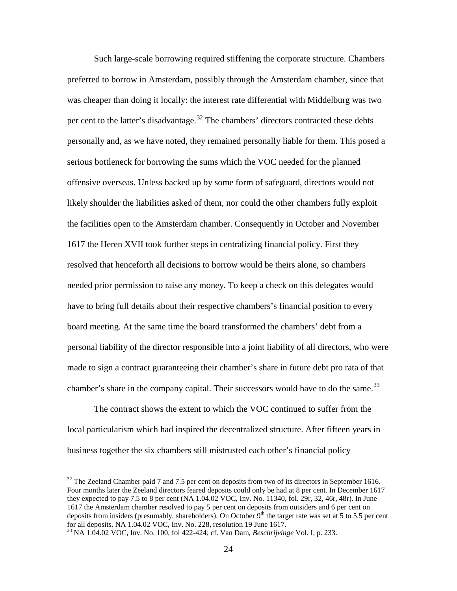Such large-scale borrowing required stiffening the corporate structure. Chambers preferred to borrow in Amsterdam, possibly through the Amsterdam chamber, since that was cheaper than doing it locally: the interest rate differential with Middelburg was two per cent to the latter's disadvantage.<sup>[32](#page-24-0)</sup> The chambers' directors contracted these debts personally and, as we have noted, they remained personally liable for them. This posed a serious bottleneck for borrowing the sums which the VOC needed for the planned offensive overseas. Unless backed up by some form of safeguard, directors would not likely shoulder the liabilities asked of them, nor could the other chambers fully exploit the facilities open to the Amsterdam chamber. Consequently in October and November 1617 the Heren XVII took further steps in centralizing financial policy. First they resolved that henceforth all decisions to borrow would be theirs alone, so chambers needed prior permission to raise any money. To keep a check on this delegates would have to bring full details about their respective chambers's financial position to every board meeting. At the same time the board transformed the chambers' debt from a personal liability of the director responsible into a joint liability of all directors, who were made to sign a contract guaranteeing their chamber's share in future debt pro rata of that chamber's share in the company capital. Their successors would have to do the same.<sup>[33](#page-25-0)</sup>

The contract shows the extent to which the VOC continued to suffer from the local particularism which had inspired the decentralized structure. After fifteen years in business together the six chambers still mistrusted each other's financial policy

<sup>&</sup>lt;sup>32</sup> The Zeeland Chamber paid 7 and 7.5 per cent on deposits from two of its directors in September 1616. Four months later the Zeeland directors feared deposits could only be had at 8 per cent. In December 1617 they expected to pay 7.5 to 8 per cent (NA 1.04.02 VOC, Inv. No. 11340, fol. 29r, 32, 46r, 48r). In June 1617 the Amsterdam chamber resolved to pay 5 per cent on deposits from outsiders and 6 per cent on deposits from insiders (presumably, shareholders). On October  $9<sup>th</sup>$  the target rate was set at 5 to 5.5 per cent for all deposits. NA 1.04.02 VOC, Inv. No. 228, resolution 19 June 1617.

<span id="page-25-1"></span><span id="page-25-0"></span><sup>&</sup>lt;sup>33</sup> NA 1.04.02 VOC, Inv. No. 100, fol 422-424; cf. Van Dam, *Beschrijvinge* Vol. I, p. 233.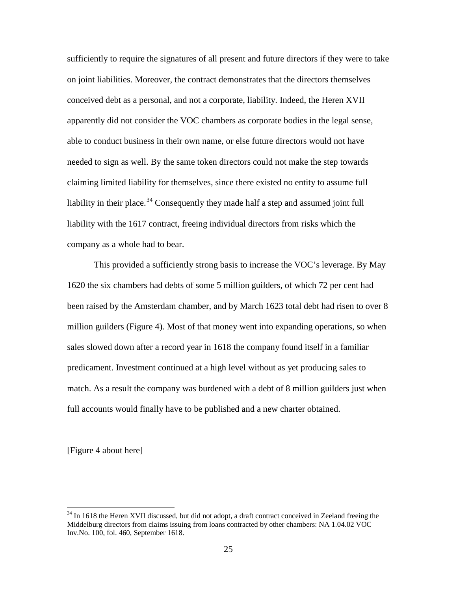sufficiently to require the signatures of all present and future directors if they were to take on joint liabilities. Moreover, the contract demonstrates that the directors themselves conceived debt as a personal, and not a corporate, liability. Indeed, the Heren XVII apparently did not consider the VOC chambers as corporate bodies in the legal sense, able to conduct business in their own name, or else future directors would not have needed to sign as well. By the same token directors could not make the step towards claiming limited liability for themselves, since there existed no entity to assume full liability in their place.<sup>[34](#page-25-1)</sup> Consequently they made half a step and assumed joint full liability with the 1617 contract, freeing individual directors from risks which the company as a whole had to bear.

This provided a sufficiently strong basis to increase the VOC's leverage. By May 1620 the six chambers had debts of some 5 million guilders, of which 72 per cent had been raised by the Amsterdam chamber, and by March 1623 total debt had risen to over 8 million guilders (Figure 4). Most of that money went into expanding operations, so when sales slowed down after a record year in 1618 the company found itself in a familiar predicament. Investment continued at a high level without as yet producing sales to match. As a result the company was burdened with a debt of 8 million guilders just when full accounts would finally have to be published and a new charter obtained.

[Figure 4 about here]

<span id="page-26-0"></span><sup>&</sup>lt;sup>34</sup> In 1618 the Heren XVII discussed, but did not adopt, a draft contract conceived in Zeeland freeing the Middelburg directors from claims issuing from loans contracted by other chambers: NA 1.04.02 VOC Inv.No. 100, fol. 460, September 1618.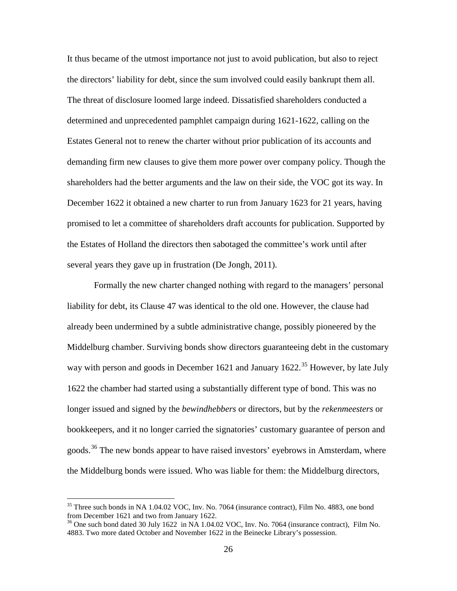It thus became of the utmost importance not just to avoid publication, but also to reject the directors' liability for debt, since the sum involved could easily bankrupt them all. The threat of disclosure loomed large indeed. Dissatisfied shareholders conducted a determined and unprecedented pamphlet campaign during 1621-1622, calling on the Estates General not to renew the charter without prior publication of its accounts and demanding firm new clauses to give them more power over company policy. Though the shareholders had the better arguments and the law on their side, the VOC got its way. In December 1622 it obtained a new charter to run from January 1623 for 21 years, having promised to let a committee of shareholders draft accounts for publication. Supported by the Estates of Holland the directors then sabotaged the committee's work until after several years they gave up in frustration (De Jongh, 2011).

Formally the new charter changed nothing with regard to the managers' personal liability for debt, its Clause 47 was identical to the old one. However, the clause had already been undermined by a subtle administrative change, possibly pioneered by the Middelburg chamber. Surviving bonds show directors guaranteeing debt in the customary way with person and goods in December 1621 and January 1622.<sup>[35](#page-26-0)</sup> However, by late July 1622 the chamber had started using a substantially different type of bond. This was no longer issued and signed by the *bewindhebbers* or directors, but by the *rekenmeesters* or bookkeepers, and it no longer carried the signatories' customary guarantee of person and goods.<sup>[36](#page-27-0)</sup> The new bonds appear to have raised investors' eyebrows in Amsterdam, where the Middelburg bonds were issued. Who was liable for them: the Middelburg directors,

<sup>&</sup>lt;sup>35</sup> Three such bonds in NA 1.04.02 VOC, Inv. No. 7064 (insurance contract), Film No. 4883, one bond from December 1621 and two from January 1622.

<span id="page-27-1"></span><span id="page-27-0"></span><sup>&</sup>lt;sup>36</sup> One such bond dated 30 July 1622 in NA 1.04.02 VOC, Inv. No. 7064 (insurance contract), Film No. 4883. Two more dated October and November 1622 in the Beinecke Library's possession.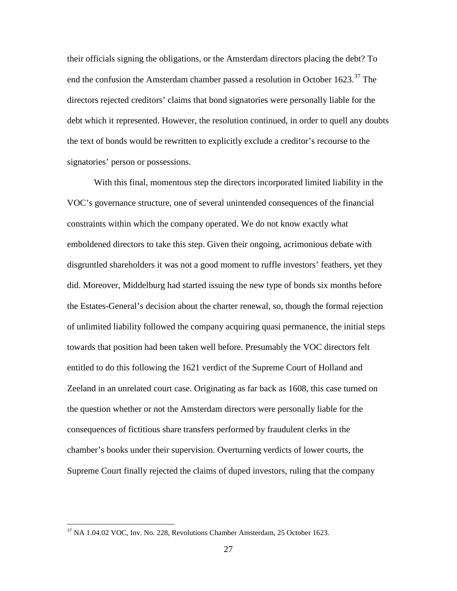their officials signing the obligations, or the Amsterdam directors placing the debt? To end the confusion the Amsterdam chamber passed a resolution in October 1623.<sup>[37](#page-27-1)</sup> The directors rejected creditors' claims that bond signatories were personally liable for the debt which it represented. However, the resolution continued, in order to quell any doubts the text of bonds would be rewritten to explicitly exclude a creditor's recourse to the signatories' person or possessions.

With this final, momentous step the directors incorporated limited liability in the VOC's governance structure, one of several unintended consequences of the financial constraints within which the company operated. We do not know exactly what emboldened directors to take this step. Given their ongoing, acrimonious debate with disgruntled shareholders it was not a good moment to ruffle investors' feathers, yet they did. Moreover, Middelburg had started issuing the new type of bonds six months before the Estates-General's decision about the charter renewal, so, though the formal rejection of unlimited liability followed the company acquiring quasi permanence, the initial steps towards that position had been taken well before. Presumably the VOC directors felt entitled to do this following the 1621 verdict of the Supreme Court of Holland and Zeeland in an unrelated court case. Originating as far back as 1608, this case turned on the question whether or not the Amsterdam directors were personally liable for the consequences of fictitious share transfers performed by fraudulent clerks in the chamber's books under their supervision. Overturning verdicts of lower courts, the Supreme Court finally rejected the claims of duped investors, ruling that the company

<span id="page-28-0"></span><sup>&</sup>lt;sup>37</sup> NA 1.04.02 VOC, Inv. No. 228, Revolutions Chamber Amsterdam, 25 October 1623.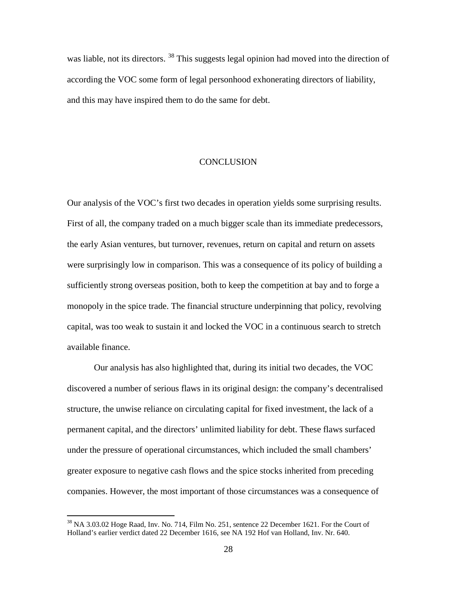was liable, not its directors. <sup>[38](#page-28-0)</sup> This suggests legal opinion had moved into the direction of according the VOC some form of legal personhood exhonerating directors of liability, and this may have inspired them to do the same for debt.

#### **CONCLUSION**

Our analysis of the VOC's first two decades in operation yields some surprising results. First of all, the company traded on a much bigger scale than its immediate predecessors, the early Asian ventures, but turnover, revenues, return on capital and return on assets were surprisingly low in comparison. This was a consequence of its policy of building a sufficiently strong overseas position, both to keep the competition at bay and to forge a monopoly in the spice trade. The financial structure underpinning that policy, revolving capital, was too weak to sustain it and locked the VOC in a continuous search to stretch available finance.

Our analysis has also highlighted that, during its initial two decades, the VOC discovered a number of serious flaws in its original design: the company's decentralised structure, the unwise reliance on circulating capital for fixed investment, the lack of a permanent capital, and the directors' unlimited liability for debt. These flaws surfaced under the pressure of operational circumstances, which included the small chambers' greater exposure to negative cash flows and the spice stocks inherited from preceding companies. However, the most important of those circumstances was a consequence of

<span id="page-29-0"></span><sup>&</sup>lt;sup>38</sup> NA 3.03.02 Hoge Raad, Inv. No. 714, Film No. 251, sentence 22 December 1621. For the Court of Holland's earlier verdict dated 22 December 1616, see NA 192 Hof van Holland, Inv. Nr. 640.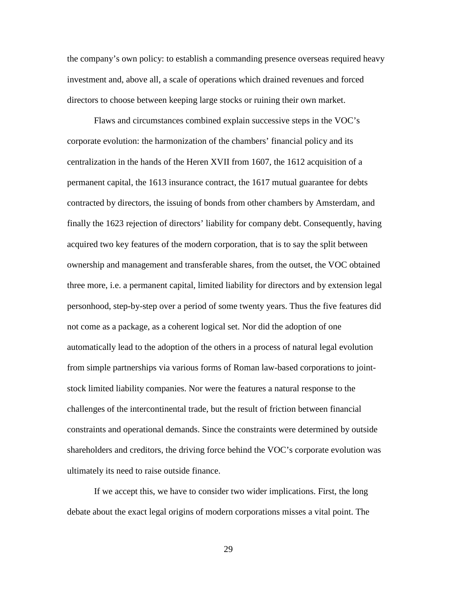the company's own policy: to establish a commanding presence overseas required heavy investment and, above all, a scale of operations which drained revenues and forced directors to choose between keeping large stocks or ruining their own market.

 Flaws and circumstances combined explain successive steps in the VOC's corporate evolution: the harmonization of the chambers' financial policy and its centralization in the hands of the Heren XVII from 1607, the 1612 acquisition of a permanent capital, the 1613 insurance contract, the 1617 mutual guarantee for debts contracted by directors, the issuing of bonds from other chambers by Amsterdam, and finally the 1623 rejection of directors' liability for company debt. Consequently, having acquired two key features of the modern corporation, that is to say the split between ownership and management and transferable shares, from the outset, the VOC obtained three more, i.e. a permanent capital, limited liability for directors and by extension legal personhood, step-by-step over a period of some twenty years. Thus the five features did not come as a package, as a coherent logical set. Nor did the adoption of one automatically lead to the adoption of the others in a process of natural legal evolution from simple partnerships via various forms of Roman law-based corporations to jointstock limited liability companies. Nor were the features a natural response to the challenges of the intercontinental trade, but the result of friction between financial constraints and operational demands. Since the constraints were determined by outside shareholders and creditors, the driving force behind the VOC's corporate evolution was ultimately its need to raise outside finance.

 If we accept this, we have to consider two wider implications. First, the long debate about the exact legal origins of modern corporations misses a vital point. The

29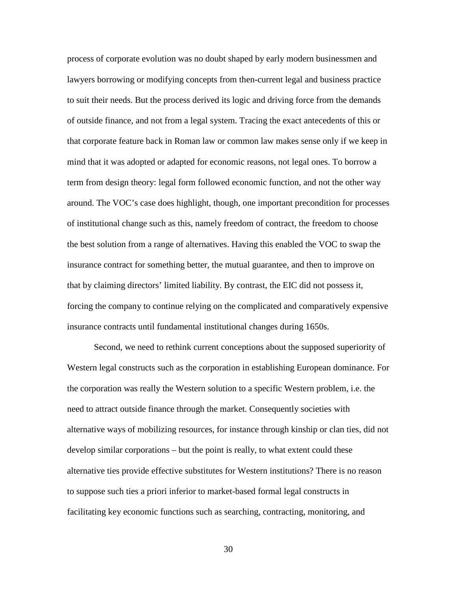process of corporate evolution was no doubt shaped by early modern businessmen and lawyers borrowing or modifying concepts from then-current legal and business practice to suit their needs. But the process derived its logic and driving force from the demands of outside finance, and not from a legal system. Tracing the exact antecedents of this or that corporate feature back in Roman law or common law makes sense only if we keep in mind that it was adopted or adapted for economic reasons, not legal ones. To borrow a term from design theory: legal form followed economic function, and not the other way around. The VOC's case does highlight, though, one important precondition for processes of institutional change such as this, namely freedom of contract, the freedom to choose the best solution from a range of alternatives. Having this enabled the VOC to swap the insurance contract for something better, the mutual guarantee, and then to improve on that by claiming directors' limited liability. By contrast, the EIC did not possess it, forcing the company to continue relying on the complicated and comparatively expensive insurance contracts until fundamental institutional changes during 1650s.

Second, we need to rethink current conceptions about the supposed superiority of Western legal constructs such as the corporation in establishing European dominance. For the corporation was really the Western solution to a specific Western problem, i.e. the need to attract outside finance through the market. Consequently societies with alternative ways of mobilizing resources, for instance through kinship or clan ties, did not develop similar corporations – but the point is really, to what extent could these alternative ties provide effective substitutes for Western institutions? There is no reason to suppose such ties a priori inferior to market-based formal legal constructs in facilitating key economic functions such as searching, contracting, monitoring, and

30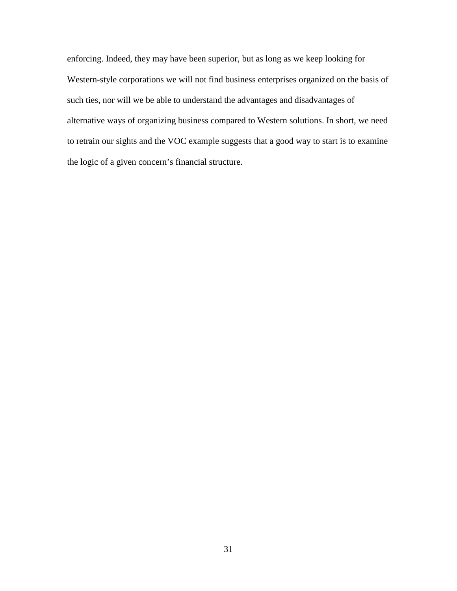enforcing. Indeed, they may have been superior, but as long as we keep looking for Western-style corporations we will not find business enterprises organized on the basis of such ties, nor will we be able to understand the advantages and disadvantages of alternative ways of organizing business compared to Western solutions. In short, we need to retrain our sights and the VOC example suggests that a good way to start is to examine the logic of a given concern's financial structure.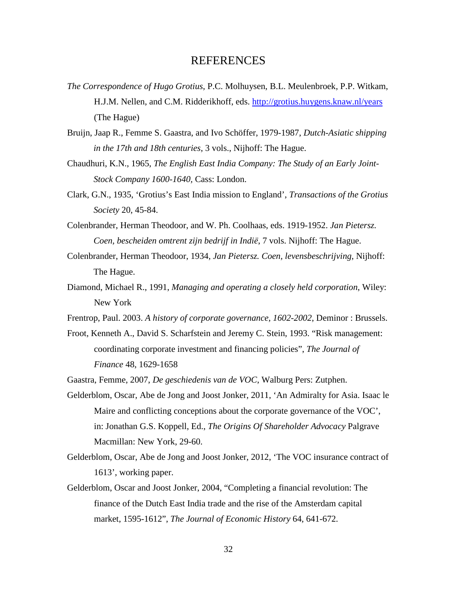#### REFERENCES

- *The Correspondence of Hugo Grotius*, P.C. Molhuysen, B.L. Meulenbroek, P.P. Witkam, H.J.M. Nellen, and C.M. Ridderikhoff, eds.<http://grotius.huygens.knaw.nl/years> (The Hague)
- Bruijn, Jaap R., Femme S. Gaastra, and Ivo Schöffer, 1979-1987, *Dutch-Asiatic shipping in the 17th and 18th centuries*, 3 vols., Nijhoff: The Hague.
- Chaudhuri, K.N., 1965, *The English East India Company: The Study of an Early Joint-Stock Company 1600-1640,* Cass: London.
- Clark, G.N., 1935, 'Grotius's East India mission to England', *Transactions of the Grotius Society* 20, 45-84.
- Colenbrander, Herman Theodoor, and W. Ph. Coolhaas, eds. 1919-1952. *Jan Pietersz. Coen, bescheiden omtrent zijn bedrijf in Indië*, 7 vols. Nijhoff: The Hague.
- Colenbrander, Herman Theodoor, 1934, *Jan Pietersz. Coen, levensbeschrijving*, Nijhoff: The Hague.
- Diamond, Michael R., 1991, *Managing and operating a closely held corporation*, Wiley: New York
- Frentrop, Paul. 2003. *A history of corporate governance, 1602-2002*, Deminor : Brussels.
- Froot, Kenneth A., David S. Scharfstein and Jeremy C. Stein, 1993. "Risk management: coordinating corporate investment and financing policies", *The Journal of Finance* 48, 1629-1658
- Gaastra, Femme, 2007, *De geschiedenis van de VOC*, Walburg Pers: Zutphen.
- Gelderblom, Oscar, Abe de Jong and Joost Jonker, 2011, 'An Admiralty for Asia. Isaac le Maire and conflicting conceptions about the corporate governance of the VOC', in: Jonathan G.S. Koppell, Ed., *The Origins Of Shareholder Advocacy* Palgrave Macmillan: New York, 29-60.
- Gelderblom, Oscar, Abe de Jong and Joost Jonker, 2012, 'The VOC insurance contract of 1613', working paper.
- Gelderblom, Oscar and Joost Jonker, 2004, "Completing a financial revolution: The finance of the Dutch East India trade and the rise of the Amsterdam capital market, 1595-1612", *The Journal of Economic History* 64, 641-672.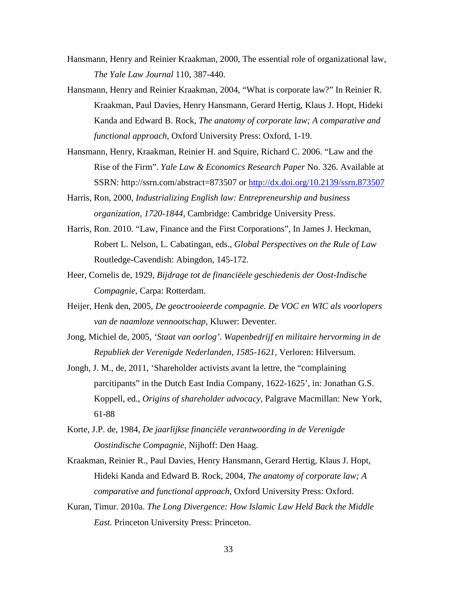- Hansmann, Henry and Reinier Kraakman, 2000, The essential role of organizational law, *The Yale Law Journal* 110, 387-440.
- Hansmann, Henry and Reinier Kraakman, 2004, "What is corporate law?" In Reinier R. Kraakman, Paul Davies, Henry Hansmann, Gerard Hertig, Klaus J. Hopt, Hideki Kanda and Edward B. Rock, *The anatomy of corporate law; A comparative and functional approach*, Oxford University Press: Oxford, 1-19.
- Hansmann, Henry, Kraakman, Reinier H. and Squire, Richard C. 2006. "Law and the Rise of the Firm". *Yale Law & Economics Research Paper* No. 326. Available at SSRN: http://ssrn.com/abstract=873507 or<http://dx.doi.org/10.2139/ssrn.873507>
- Harris, Ron, 2000, *Industrializing English law: Entrepreneurship and business organization, 1720-1844*, Cambridge: Cambridge University Press.
- Harris, Ron. 2010. "Law, Finance and the First Corporations", In James J. Heckman, Robert L. Nelson, L. Cabatingan, eds., *Global Perspectives on the Rule of Law* Routledge-Cavendish: Abingdon, 145-172.
- Heer, Cornelis de, 1929, *Bijdrage tot de financiëele geschiedenis der Oost-Indische Compagnie*, Carpa: Rotterdam.
- Heijer, Henk den, 2005, *De geoctrooieerde compagnie. De VOC en WIC als voorlopers van de naamloze vennootschap*, Kluwer: Deventer.
- Jong, Michiel de, 2005, *'Staat van oorlog'. Wapenbedrijf en militaire hervorming in de Republiek der Verenigde Nederlanden, 1585-1621,* Verloren: Hilversum.
- Jongh, J. M., de, 2011, 'Shareholder activists avant la lettre, the "complaining parcitipants" in the Dutch East India Company, 1622-1625', in: Jonathan G.S. Koppell, ed., *Origins of shareholder advocacy*, Palgrave Macmillan: New York, 61-88
- Korte, J.P. de, 1984, *De jaarlijkse financiële verantwoording in de Verenigde Oostindische Compagnie*, Nijhoff: Den Haag.
- Kraakman, Reinier R., Paul Davies, Henry Hansmann, Gerard Hertig, Klaus J. Hopt, Hideki Kanda and Edward B. Rock, 2004, *The anatomy of corporate law; A comparative and functional approach*, Oxford University Press: Oxford.
- Kuran, Timur. 2010a. *The Long Divergence: How Islamic Law Held Back the Middle East.* Princeton University Press: Princeton.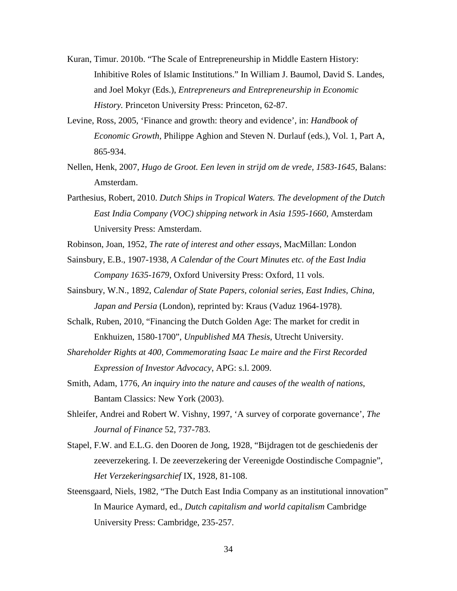- Kuran, Timur. 2010b. "The Scale of Entrepreneurship in Middle Eastern History: Inhibitive Roles of Islamic Institutions." In William J. Baumol, David S. Landes, and Joel Mokyr (Eds.), *Entrepreneurs and Entrepreneurship in Economic History.* Princeton University Press: Princeton, 62-87.
- Levine, Ross, 2005, 'Finance and growth: theory and evidence', in: *Handbook of Economic Growth*, Philippe Aghion and Steven N. Durlauf (eds.), Vol. 1, Part A, 865-934.
- Nellen, Henk, 2007, *Hugo de Groot. Een leven in strijd om de vrede, 1583-1645*, Balans: Amsterdam.
- Parthesius, Robert, 2010. *Dutch Ships in Tropical Waters. The development of the Dutch East India Company (VOC) shipping network in Asia 1595-1660*, Amsterdam University Press: Amsterdam.
- Robinson, Joan, 1952, *The rate of interest and other essays*, MacMillan: London
- Sainsbury, E.B., 1907-1938, *A Calendar of the Court Minutes etc. of the East India Company 1635-1679*, Oxford University Press: Oxford, 11 vols.
- Sainsbury, W.N., 1892, *Calendar of State Papers, colonial series, East Indies, China, Japan and Persia* (London), reprinted by: Kraus (Vaduz 1964-1978).
- Schalk, Ruben, 2010, "Financing the Dutch Golden Age: The market for credit in Enkhuizen, 1580-1700", *Unpublished MA Thesis*, Utrecht University.
- *Shareholder Rights at 400, Commemorating Isaac Le maire and the First Recorded Expression of Investor Advocacy*, APG: s.l. 2009.
- Smith, Adam, 1776, *An inquiry into the nature and causes of the wealth of nations*, Bantam Classics: New York (2003).
- Shleifer, Andrei and Robert W. Vishny, 1997, 'A survey of corporate governance', *The Journal of Finance* 52, 737-783.
- Stapel, F.W. and E.L.G. den Dooren de Jong, 1928, "Bijdragen tot de geschiedenis der zeeverzekering. I. De zeeverzekering der Vereenigde Oostindische Compagnie", *Het Verzekeringsarchief* IX, 1928, 81-108.
- Steensgaard, Niels, 1982, "The Dutch East India Company as an institutional innovation" In Maurice Aymard, ed., *Dutch capitalism and world capitalism* Cambridge University Press: Cambridge, 235-257.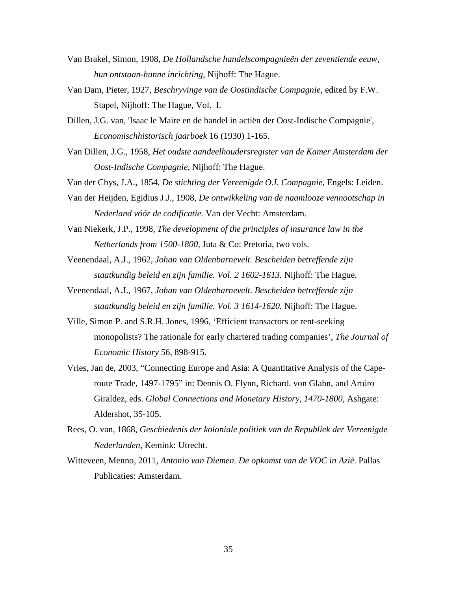- Van Brakel, Simon, 1908, *De Hollandsche handelscompagnieën der zeventiende eeuw, hun ontstaan-hunne inrichting*, Nijhoff: The Hague.
- Van Dam, Pieter, 1927, *Beschryvinge van de Oostindische Compagnie*, edited by F.W. Stapel, Nijhoff: The Hague, Vol. I.
- Dillen, J.G. van, 'Isaac le Maire en de handel in actiën der Oost-Indische Compagnie', *Economischhistorisch jaarboek* 16 (1930) 1-165.
- Van Dillen, J.G., 1958, *Het oudste aandeelhoudersregister van de Kamer Amsterdam der Oost-Indische Compagnie*, Nijhoff: The Hague.
- Van der Chys, J.A., 1854, *De stichting der Vereenigde O.I. Compagnie*, Engels: Leiden.
- Van der Heijden, Egidius J.J., 1908, *De ontwikkeling van de naamlooze vennootschap in Nederland vóór de codificatie*. Van der Vecht: Amsterdam.
- Van Niekerk, J.P., 1998, *The development of the principles of insurance law in the Netherlands from 1500-1800*, Juta & Co: Pretoria, two vols.
- Veenendaal, A.J., 1962, *Johan van Oldenbarnevelt. Bescheiden betreffende zijn staatkundig beleid en zijn familie. Vol. 2 1602-1613.* Nijhoff: The Hague.
- Veenendaal, A.J., 1967, *Johan van Oldenbarnevelt. Bescheiden betreffende zijn staatkundig beleid en zijn familie. Vol. 3 1614-1620.* Nijhoff: The Hague.
- Ville, Simon P. and S.R.H. Jones, 1996, 'Efficient transactors or rent-seeking monopolists? The rationale for early chartered trading companies', *The Journal of Economic History* 56, 898-915.
- Vries, Jan de, 2003, "Connecting Europe and Asia: A Quantitative Analysis of the Caperoute Trade, 1497-1795" in: Dennis O. Flynn, Richard. von Glahn, and Artúro Giraldez, eds. *Global Connections and Monetary History, 1470-1800*, Ashgate: Aldershot, 35-105.
- Rees, O. van, 1868, *Geschiedenis der koloniale politiek van de Republiek der Vereenigde Nederlanden*, Kemink: Utrecht.
- Witteveen, Menno, 2011, *Antonio van Diemen. De opkomst van de VOC in Azië*. Pallas Publicaties: Amsterdam.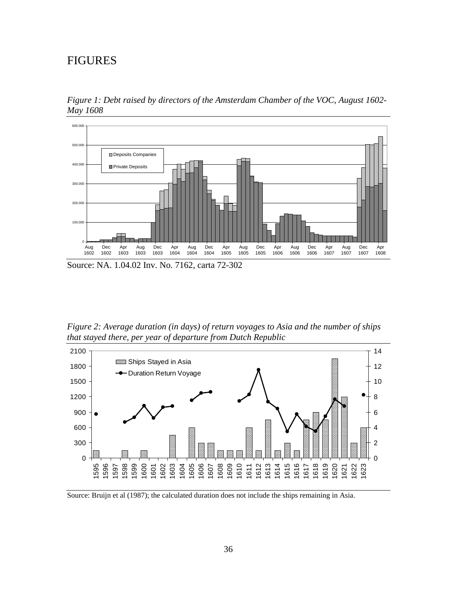## FIGURES

*Figure 1: Debt raised by directors of the Amsterdam Chamber of the VOC, August 1602- May 1608*



*Figure 2: Average duration (in days) of return voyages to Asia and the number of ships that stayed there, per year of departure from Dutch Republic*



Source: Bruijn et al (1987); the calculated duration does not include the ships remaining in Asia.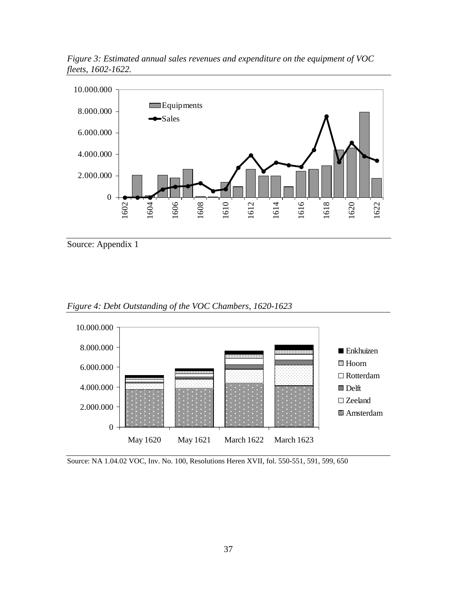

*Figure 3: Estimated annual sales revenues and expenditure on the equipment of VOC fleets, 1602-1622.*

Source: Appendix 1



*Figure 4: Debt Outstanding of the VOC Chambers, 1620-1623*

Source: NA 1.04.02 VOC, Inv. No. 100, Resolutions Heren XVII, fol. 550-551, 591, 599, 650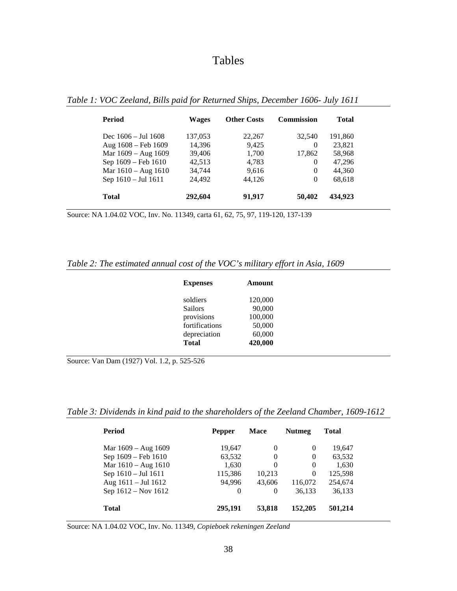# Tables

| Period                        | <b>Wages</b> | <b>Other Costs</b> | <b>Commission</b> | <b>Total</b> |
|-------------------------------|--------------|--------------------|-------------------|--------------|
| Dec $1606 - \text{Jul } 1608$ | 137,053      | 22,267             | 32.540            | 191,860      |
| Aug 1608 - Feb 1609           | 14,396       | 9.425              | $\theta$          | 23,821       |
| Mar 1609 - Aug 1609           | 39,406       | 1,700              | 17,862            | 58,968       |
| Sep 1609 - Feb 1610           | 42,513       | 4,783              | $\Omega$          | 47,296       |
| Mar $1610 - Aug 1610$         | 34.744       | 9.616              | $\Omega$          | 44,360       |
| Sep 1610 - Jul 1611           | 24.492       | 44.126             | $\Omega$          | 68,618       |
| <b>Total</b>                  | 292,604      | 91,917             | 50,402            | 434,923      |

*Table 1: VOC Zeeland, Bills paid for Returned Ships, December 1606- July 1611*

Source: NA 1.04.02 VOC, Inv. No. 11349, carta 61, 62, 75, 97, 119-120, 137-139

#### *Table 2: The estimated annual cost of the VOC's military effort in Asia, 1609*

| <b>Expenses</b> | Amount  |
|-----------------|---------|
| soldiers        | 120,000 |
| <b>Sailors</b>  | 90,000  |
| provisions      | 100,000 |
| fortifications  | 50,000  |
| depreciation    | 60,000  |
| <b>Total</b>    | 420,000 |

Source: Van Dam (1927) Vol. 1.2, p. 525-526

*Table 3: Dividends in kind paid to the shareholders of the Zeeland Chamber, 1609-1612*

| <b>Period</b>         | <b>Pepper</b> | Mace     | <b>Nutmeg</b> | Total   |
|-----------------------|---------------|----------|---------------|---------|
| Mar 1609 – Aug 1609   | 19,647        | $\theta$ | $\theta$      | 19,647  |
| Sep 1609 – Feb 1610   | 63,532        | $\Omega$ | $\Omega$      | 63,532  |
| Mar $1610 - Aug 1610$ | 1,630         | 0        | $\Omega$      | 1,630   |
| Sep 1610 - Jul 1611   | 115,386       | 10,213   | $\Omega$      | 125,598 |
| Aug 1611 - Jul 1612   | 94.996        | 43,606   | 116,072       | 254,674 |
| Sep 1612 - Nov 1612   | 0             | 0        | 36,133        | 36,133  |
| <b>Total</b>          | 295,191       | 53,818   | 152,205       | 501,214 |

Source: NA 1.04.02 VOC, Inv. No. 11349, *Copieboek rekeningen Zeeland*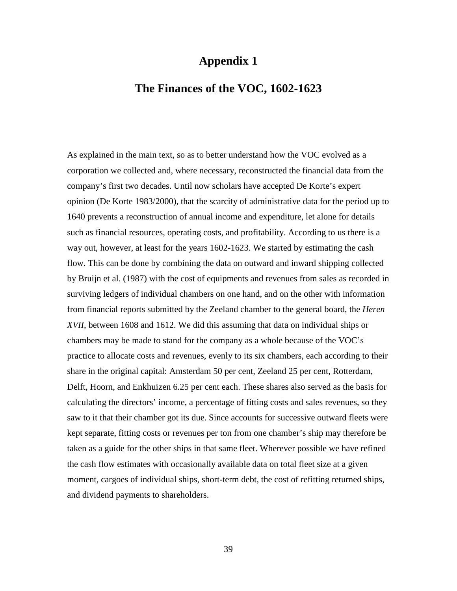## **Appendix 1**

## **The Finances of the VOC, 1602-1623**

As explained in the main text, so as to better understand how the VOC evolved as a corporation we collected and, where necessary, reconstructed the financial data from the company's first two decades. Until now scholars have accepted De Korte's expert opinion (De Korte 1983/2000), that the scarcity of administrative data for the period up to 1640 prevents a reconstruction of annual income and expenditure, let alone for details such as financial resources, operating costs, and profitability. According to us there is a way out, however, at least for the years 1602-1623. We started by estimating the cash flow. This can be done by combining the data on outward and inward shipping collected by Bruijn et al. (1987) with the cost of equipments and revenues from sales as recorded in surviving ledgers of individual chambers on one hand, and on the other with information from financial reports submitted by the Zeeland chamber to the general board, the *Heren XVII*, between 1608 and 1612. We did this assuming that data on individual ships or chambers may be made to stand for the company as a whole because of the VOC's practice to allocate costs and revenues, evenly to its six chambers, each according to their share in the original capital: Amsterdam 50 per cent, Zeeland 25 per cent, Rotterdam, Delft, Hoorn, and Enkhuizen 6.25 per cent each. These shares also served as the basis for calculating the directors' income, a percentage of fitting costs and sales revenues, so they saw to it that their chamber got its due. Since accounts for successive outward fleets were kept separate, fitting costs or revenues per ton from one chamber's ship may therefore be taken as a guide for the other ships in that same fleet. Wherever possible we have refined the cash flow estimates with occasionally available data on total fleet size at a given moment, cargoes of individual ships, short-term debt, the cost of refitting returned ships, and dividend payments to shareholders.

39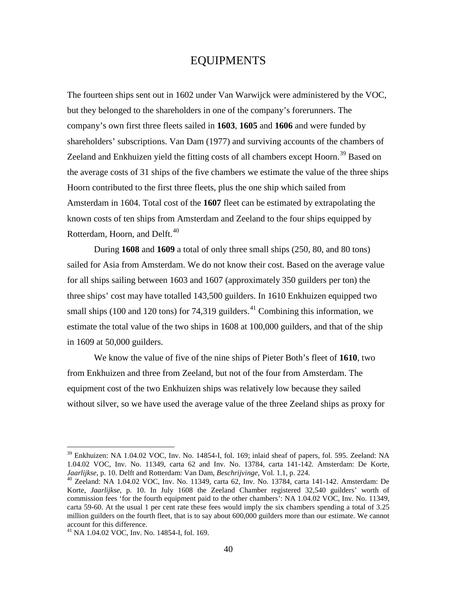### EQUIPMENTS

The fourteen ships sent out in 1602 under Van Warwijck were administered by the VOC, but they belonged to the shareholders in one of the company's forerunners. The company's own first three fleets sailed in **1603**, **1605** and **1606** and were funded by shareholders' subscriptions. Van Dam (1977) and surviving accounts of the chambers of Zeeland and Enkhuizen yield the fitting costs of all chambers except Hoorn.<sup>[39](#page-29-0)</sup> Based on the average costs of 31 ships of the five chambers we estimate the value of the three ships Hoorn contributed to the first three fleets, plus the one ship which sailed from Amsterdam in 1604. Total cost of the **1607** fleet can be estimated by extrapolating the known costs of ten ships from Amsterdam and Zeeland to the four ships equipped by Rotterdam, Hoorn, and Delft.<sup>[40](#page-41-0)</sup>

During **1608** and **1609** a total of only three small ships (250, 80, and 80 tons) sailed for Asia from Amsterdam. We do not know their cost. Based on the average value for all ships sailing between 1603 and 1607 (approximately 350 guilders per ton) the three ships' cost may have totalled 143,500 guilders. In 1610 Enkhuizen equipped two small ships (100 and 120 tons) for 74,319 guilders.<sup>[41](#page-41-1)</sup> Combining this information, we estimate the total value of the two ships in 1608 at 100,000 guilders, and that of the ship in 1609 at 50,000 guilders.

<span id="page-41-2"></span>We know the value of five of the nine ships of Pieter Both's fleet of **1610**, two from Enkhuizen and three from Zeeland, but not of the four from Amsterdam. The equipment cost of the two Enkhuizen ships was relatively low because they sailed without silver, so we have used the average value of the three Zeeland ships as proxy for

<sup>&</sup>lt;sup>39</sup> Enkhuizen: NA 1.04.02 VOC, Inv. No. 14854-I, fol. 169; inlaid sheaf of papers, fol. 595. Zeeland: NA 1.04.02 VOC, Inv. No. 11349, carta 62 and Inv. No. 13784, carta 141-142. Amsterdam: De Korte, *Jaarlijkse*, p. 10. Delft and Rotterdam: Van Dam, *Beschrijvinge*, Vol. 1.1, p. 224.

<span id="page-41-0"></span><sup>&</sup>lt;sup>40</sup> Zeeland: NA 1.04.02 VOC, Inv. No. 11349, carta 62, Inv. No. 13784, carta 141-142. Amsterdam: De Korte, *Jaarlijkse*, p. 10. In July 1608 the Zeeland Chamber registered 32,540 guilders' worth of commission fees 'for the fourth equipment paid to the other chambers': NA 1.04.02 VOC, Inv. No. 11349, carta 59-60. At the usual 1 per cent rate these fees would imply the six chambers spending a total of 3.25 million guilders on the fourth fleet, that is to say about 600,000 guilders more than our estimate. We cannot account for this difference.

<span id="page-41-1"></span><sup>41</sup> NA 1.04.02 VOC, Inv. No. 14854-I, fol. 169.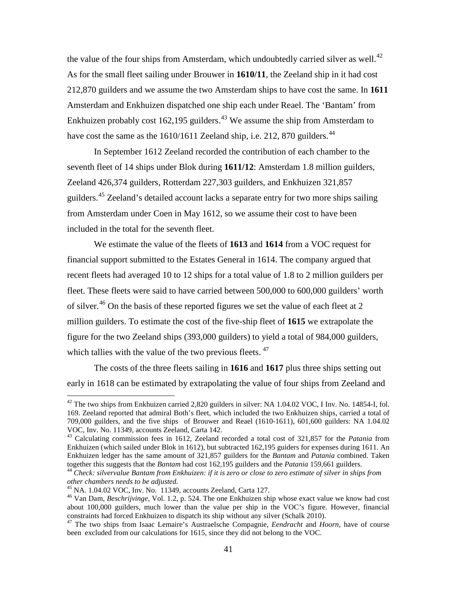the value of the four ships from Amsterdam, which undoubtedly carried silver as well.<sup>[42](#page-41-2)</sup> As for the small fleet sailing under Brouwer in **1610/11**, the Zeeland ship in it had cost 212,870 guilders and we assume the two Amsterdam ships to have cost the same. In **1611** Amsterdam and Enkhuizen dispatched one ship each under Reael. The 'Bantam' from Enkhuizen probably cost 162,195 guilders.<sup>[43](#page-42-0)</sup> We assume the ship from Amsterdam to have cost the same as the  $1610/1611$  Zeeland ship, i.e. 212, 870 guilders.<sup>[44](#page-42-1)</sup>

In September 1612 Zeeland recorded the contribution of each chamber to the seventh fleet of 14 ships under Blok during **1611/12**: Amsterdam 1.8 million guilders, Zeeland 426,374 guilders, Rotterdam 227,303 guilders, and Enkhuizen 321,857 guilders.[45](#page-42-2) Zeeland's detailed account lacks a separate entry for two more ships sailing from Amsterdam under Coen in May 1612, so we assume their cost to have been included in the total for the seventh fleet.

We estimate the value of the fleets of **1613** and **1614** from a VOC request for financial support submitted to the Estates General in 1614. The company argued that recent fleets had averaged 10 to 12 ships for a total value of 1.8 to 2 million guilders per fleet. These fleets were said to have carried between 500,000 to 600,000 guilders' worth of silver.<sup>[46](#page-42-3)</sup> On the basis of these reported figures we set the value of each fleet at 2 million guilders. To estimate the cost of the five-ship fleet of **1615** we extrapolate the figure for the two Zeeland ships (393,000 guilders) to yield a total of 984,000 guilders, which tallies with the value of the two previous fleets.  $47$ 

The costs of the three fleets sailing in **1616** and **1617** plus three ships setting out early in 1618 can be estimated by extrapolating the value of four ships from Zeeland and

 $^{42}$  The two ships from Enkhuizen carried 2,820 guilders in silver: NA 1.04.02 VOC, I Inv. No. 14854-I, fol. 169. Zeeland reported that admiral Both's fleet, which included the two Enkhuizen ships, carried a total of 709,000 guilders, and the five ships of Brouwer and Reael (1610-1611), 601,600 guilders: NA 1.04.02 VOC, Inv. No. 11349, accounts Zeeland, Carta 142. <sup>43</sup> Calculating commission fees in 1612, Zeeland recorded a total cost of 321,857 for the *Patania* from

<span id="page-42-0"></span>Enkhuizen (which sailed under Blok in 1612), but subtracted 162,195 guiders for expenses during 1611. An Enkhuizen ledger has the same amount of 321,857 guilders for the *Bantam* and *Patania* combined. Taken

<span id="page-42-1"></span><sup>&</sup>lt;sup>44</sup> Check: silvervalue Bantam from Enkhuizen: if it is zero or close to zero estimate of silver in ships from *other chambers needs to be adjusted.*

<span id="page-42-2"></span>

<span id="page-42-5"></span><span id="page-42-3"></span><sup>&</sup>lt;sup>46</sup> Van Dam, *Beschrijvinge*, Vol. 1.2, p. 524. The one Enkhuizen ship whose exact value we know had cost about 100,000 guilders, much lower than the value per ship in the VOC's figure. However, financial constraints had forced Enkhuizen to dispatch its ship without any silver (Schalk 2010).

<span id="page-42-4"></span><sup>&</sup>lt;sup>47</sup> The two ships from Isaac Lemaire's Austraelsche Compagnie, *Eendracht* and *Hoorn*, have of course been excluded from our calculations for 1615, since they did not belong to the VOC.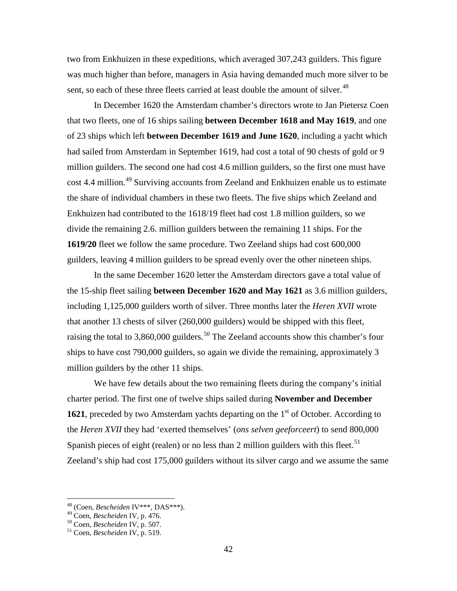two from Enkhuizen in these expeditions, which averaged 307,243 guilders. This figure was much higher than before, managers in Asia having demanded much more silver to be sent, so each of these three fleets carried at least double the amount of silver.<sup>[48](#page-42-5)</sup>

In December 1620 the Amsterdam chamber's directors wrote to Jan Pietersz Coen that two fleets, one of 16 ships sailing **between December 1618 and May 1619**, and one of 23 ships which left **between December 1619 and June 1620**, including a yacht which had sailed from Amsterdam in September 1619, had cost a total of 90 chests of gold or 9 million guilders. The second one had cost 4.6 million guilders, so the first one must have cost 4.4 million.<sup>[49](#page-43-0)</sup> Surviving accounts from Zeeland and Enkhuizen enable us to estimate the share of individual chambers in these two fleets. The five ships which Zeeland and Enkhuizen had contributed to the 1618/19 fleet had cost 1.8 million guilders, so we divide the remaining 2.6. million guilders between the remaining 11 ships. For the **1619/20** fleet we follow the same procedure. Two Zeeland ships had cost 600,000 guilders, leaving 4 million guilders to be spread evenly over the other nineteen ships.

In the same December 1620 letter the Amsterdam directors gave a total value of the 15-ship fleet sailing **between December 1620 and May 1621** as 3.6 million guilders, including 1,125,000 guilders worth of silver. Three months later the *Heren XVII* wrote that another 13 chests of silver (260,000 guilders) would be shipped with this fleet, raising the total to 3,860,000 guilders.<sup>[50](#page-43-1)</sup> The Zeeland accounts show this chamber's four ships to have cost 790,000 guilders, so again we divide the remaining, approximately 3 million guilders by the other 11 ships.

We have few details about the two remaining fleets during the company's initial charter period. The first one of twelve ships sailed during **November and December 1621**, preceded by two Amsterdam yachts departing on the 1<sup>st</sup> of October. According to the *Heren XVII* they had 'exerted themselves' (*ons selven geeforceert*) to send 800,000 Spanish pieces of eight (realen) or no less than 2 million guilders with this fleet.<sup>[51](#page-43-2)</sup> Zeeland's ship had cost 175,000 guilders without its silver cargo and we assume the same

 <sup>48</sup> (Coen, *Bescheiden* IV\*\*\*, DAS\*\*\*).

<span id="page-43-0"></span><sup>49</sup> Coen, *Bescheiden* IV, p. 476. <sup>50</sup> Coen, *Bescheiden* IV, p. 507. <sup>51</sup> Coen, *Bescheiden* IV, p. 519.

<span id="page-43-1"></span>

<span id="page-43-2"></span>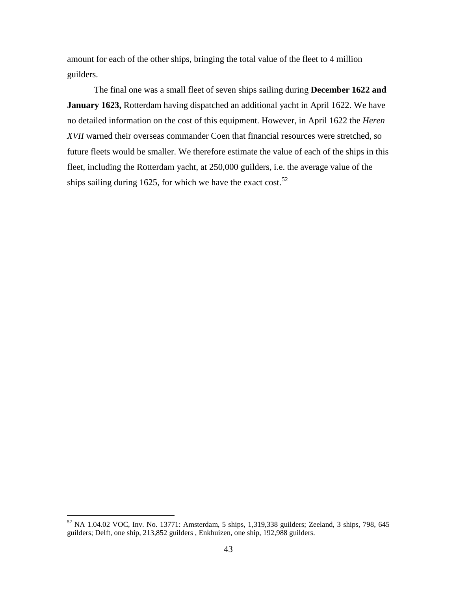amount for each of the other ships, bringing the total value of the fleet to 4 million guilders.

The final one was a small fleet of seven ships sailing during **December 1622 and January 1623,** Rotterdam having dispatched an additional yacht in April 1622. We have no detailed information on the cost of this equipment. However, in April 1622 the *Heren XVII* warned their overseas commander Coen that financial resources were stretched, so future fleets would be smaller. We therefore estimate the value of each of the ships in this fleet, including the Rotterdam yacht, at 250,000 guilders, i.e. the average value of the ships sailing during 1625, for which we have the exact cost.<sup>[52](#page-43-1)</sup>

<span id="page-44-0"></span> $52$  NA 1.04.02 VOC, Inv. No. 13771: Amsterdam, 5 ships, 1,319,338 guilders; Zeeland, 3 ships, 798, 645 guilders; Delft, one ship, 213,852 guilders , Enkhuizen, one ship, 192,988 guilders.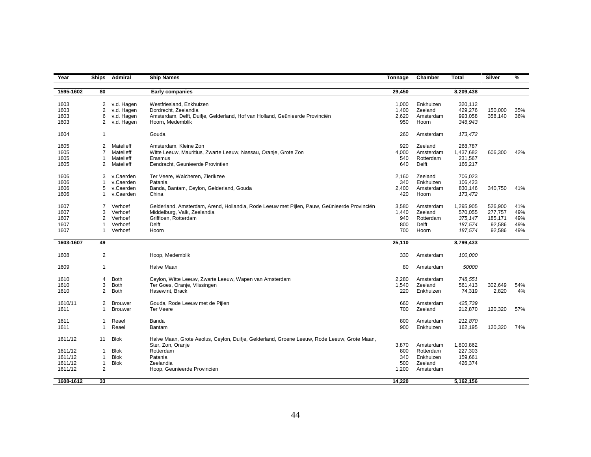| Year         | <b>Ships</b>   | Admiral                    | <b>Ship Names</b>                                                                                                | Tonnage        | Chamber              | Total              | Silver  | %   |
|--------------|----------------|----------------------------|------------------------------------------------------------------------------------------------------------------|----------------|----------------------|--------------------|---------|-----|
|              |                |                            |                                                                                                                  |                |                      |                    |         |     |
| 1595-1602    | 80             |                            | Early companies                                                                                                  | 29,450         |                      | 8,209,438          |         |     |
|              |                |                            |                                                                                                                  |                |                      |                    |         |     |
| 1603<br>1603 | $\overline{2}$ | 2 v.d. Hagen<br>v.d. Hagen | Westfriesland, Enkhuizen<br>Dordrecht, Zeelandia                                                                 | 1.000<br>1,400 | Enkhuizen<br>Zeeland | 320,112<br>429,276 | 150,000 | 35% |
| 1603         | 6              | v.d. Hagen                 | Amsterdam, Delft, Duifje, Gelderland, Hof van Holland, Geünieerde Provinciën                                     | 2,620          | Amsterdam            | 993,058            | 358,140 | 36% |
| 1603         | 2              | v.d. Hagen                 | Hoorn, Medemblik                                                                                                 | 950            | Hoorn                | 346,943            |         |     |
|              |                |                            |                                                                                                                  |                |                      |                    |         |     |
| 1604         | $\overline{1}$ |                            | Gouda                                                                                                            | 260            | Amsterdam            | 173,472            |         |     |
|              |                |                            |                                                                                                                  |                |                      |                    |         |     |
| 1605         | 2              | Matelieff                  | Amsterdam, Kleine Zon                                                                                            | 920            | Zeeland              | 268,787            |         |     |
| 1605         | 7              | Matelieff                  | Witte Leeuw, Mauritius, Zwarte Leeuw, Nassau, Oranje, Grote Zon                                                  | 4.000          | Amsterdam            | 1,437,682          | 606,300 | 42% |
| 1605         | -1             | Matelieff                  | Erasmus                                                                                                          | 540            | Rotterdam            | 231,567            |         |     |
| 1605         | $\overline{2}$ | Matelieff                  | Eendracht, Geunieerde Provintien                                                                                 | 640            | Delft                | 166,217            |         |     |
| 1606         | 3              | v.Caerden                  | Ter Veere, Walcheren, Zierikzee                                                                                  | 2,160          | Zeeland              | 706,023            |         |     |
| 1606         |                | v.Caerden                  | Patania                                                                                                          | 340            | Enkhuizen            | 106,423            |         |     |
| 1606         | 5              | v.Caerden                  | Banda, Bantam, Ceylon, Gelderland, Gouda                                                                         | 2,400          | Amsterdam            | 830,146            | 340,750 | 41% |
| 1606         | 1              | v.Caerden                  | China                                                                                                            | 420            | Hoorn                | 173,472            |         |     |
|              |                |                            |                                                                                                                  |                |                      |                    |         |     |
| 1607         | 7              | Verhoef                    | Gelderland, Amsterdam, Arend, Hollandia, Rode Leeuw met Pijlen, Pauw, Geünieerde Provinciën                      | 3,580          | Amsterdam            | 1,295,905          | 526,900 | 41% |
| 1607         | 3              | Verhoef                    | Middelburg, Valk, Zeelandia                                                                                      | 1,440          | Zeeland              | 570,055            | 277,757 | 49% |
| 1607         | $\overline{2}$ | Verhoef                    | Griffioen, Rotterdam                                                                                             | 940            | Rotterdam            | 375,147            | 185,171 | 49% |
| 1607         |                | Verhoef                    | Delft                                                                                                            | 800            | Delft                | 187,574            | 92,586  | 49% |
| 1607         |                | Verhoef                    | Hoorn                                                                                                            | 700            | Hoorn                | 187,574            | 92,586  | 49% |
|              |                |                            |                                                                                                                  |                |                      |                    |         |     |
| 1603-1607    | 49             |                            |                                                                                                                  | 25,110         |                      | 8,799,433          |         |     |
| 1608         | 2              |                            | Hoop, Medemblik                                                                                                  | 330            | Amsterdam            | 100,000            |         |     |
|              |                |                            |                                                                                                                  |                |                      |                    |         |     |
| 1609         | $\mathbf{1}$   |                            | Halve Maan                                                                                                       | 80             | Amsterdam            | 50000              |         |     |
|              |                |                            |                                                                                                                  |                |                      |                    |         |     |
| 1610         | 4              | <b>Both</b>                | Ceylon, Witte Leeuw, Zwarte Leeuw, Wapen van Amsterdam                                                           | 2,280          | Amsterdam            | 748,551            |         |     |
| 1610         | 3              | <b>Both</b>                | Ter Goes, Oranje, Vlissingen                                                                                     | 1,540          | Zeeland              | 561,413            | 302,649 | 54% |
| 1610         | 2              | <b>Both</b>                | Hasewint, Brack                                                                                                  | 220            | Enkhuizen            | 74,319             | 2,820   | 4%  |
| 1610/11      | 2              | <b>Brouwer</b>             | Gouda, Rode Leeuw met de Pijlen                                                                                  | 660            | Amsterdam            | 425,739            |         |     |
| 1611         | $\mathbf 1$    | <b>Brouwer</b>             | <b>Ter Veere</b>                                                                                                 | 700            | Zeeland              | 212,870            | 120,320 | 57% |
|              |                |                            |                                                                                                                  |                |                      |                    |         |     |
| 1611         | $\mathbf 1$    | Reael                      | Banda                                                                                                            | 800            | Amsterdam            | 212,870            |         |     |
| 1611         | -1             | Reael                      | Bantam                                                                                                           | 900            | Enkhuizen            | 162,195            | 120,320 | 74% |
|              |                |                            |                                                                                                                  |                |                      |                    |         |     |
| 1611/12      | 11             | <b>Blok</b>                | Halve Maan, Grote Aeolus, Ceylon, Duifje, Gelderland, Groene Leeuw, Rode Leeuw, Grote Maan,<br>Ster, Zon, Oranje | 3,870          | Amsterdam            | 1,800,862          |         |     |
| 1611/12      | -1             | <b>Blok</b>                | Rotterdam                                                                                                        | 800            | Rotterdam            | 227,303            |         |     |
| 1611/12      | $\mathbf{1}$   | <b>Blok</b>                | Patania                                                                                                          | 340            | Enkhuizen            | 159,661            |         |     |
| 1611/12      | $\mathbf{1}$   | <b>Blok</b>                | Zeelandia                                                                                                        | 500            | Zeeland              | 426,374            |         |     |
| 1611/12      | $\overline{2}$ |                            | Hoop, Geunieerde Provincien                                                                                      | 1,200          | Amsterdam            |                    |         |     |
|              |                |                            |                                                                                                                  |                |                      |                    |         |     |
| 1608-1612    | 33             |                            |                                                                                                                  | 14.220         |                      | 5,162,156          |         |     |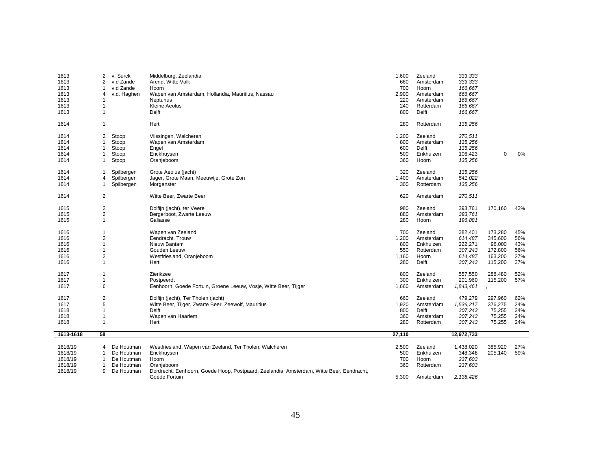| 1613      | 2              | v. Surck    | Middelburg, Zeelandia                                                                    | 1,600  | Zeeland   | 333,333    |         |     |
|-----------|----------------|-------------|------------------------------------------------------------------------------------------|--------|-----------|------------|---------|-----|
| 1613      | 2              | v.d Zande   | Arend, Witte Valk                                                                        | 660    | Amsterdam | 333,333    |         |     |
| 1613      | 1              | v.d Zande   | Hoorn                                                                                    | 700    | Hoorn     | 166,667    |         |     |
| 1613      | 4              | v.d. Haghen | Wapen van Amsterdam, Hollandia, Mauritius, Nassau                                        | 2,900  | Amsterdam | 666,667    |         |     |
| 1613      | 1              |             | Neptunus                                                                                 | 220    | Amsterdam | 166,667    |         |     |
| 1613      | 1              |             | Kleine Aeolus                                                                            | 240    | Rotterdam | 166,667    |         |     |
| 1613      | $\mathbf{1}$   |             | Delft                                                                                    | 800    | Delft     | 166,667    |         |     |
|           |                |             |                                                                                          |        |           |            |         |     |
| 1614      | $\mathbf{1}$   |             | Hert                                                                                     | 280    | Rotterdam | 135,256    |         |     |
| 1614      | 2              | Stoop       | Vlissingen, Walcheren                                                                    | 1,200  | Zeeland   | 270,511    |         |     |
| 1614      | 1              | Stoop       | Wapen van Amsterdam                                                                      | 800    | Amsterdam | 135,256    |         |     |
| 1614      | 1              | Stoop       | Engel                                                                                    | 600    | Delft     | 135,256    |         |     |
| 1614      | 1              | Stoop       | Enckhuysen                                                                               | 500    | Enkhuizen | 106,423    | 0       | 0%  |
| 1614      | 1              | Stoop       | Oranjeboom                                                                               | 360    | Hoorn     | 135,256    |         |     |
|           |                |             |                                                                                          |        |           |            |         |     |
| 1614      | 1              | Spilbergen  | Grote Aeolus (jacht)                                                                     | 320    | Zeeland   | 135,256    |         |     |
| 1614      | 4              | Spilbergen  | Jager, Grote Maan, Meeuwtje, Grote Zon                                                   | 1,400  | Amsterdam | 541,022    |         |     |
| 1614      | 1              | Spilbergen  | Morgenster                                                                               | 300    | Rotterdam | 135,256    |         |     |
| 1614      | $\overline{2}$ |             | Witte Beer, Zwarte Beer                                                                  | 620    | Amsterdam | 270,511    |         |     |
|           |                |             |                                                                                          |        |           |            |         |     |
| 1615      | 2              |             | Dolfijn (jacht), ter Veere                                                               | 980    | Zeeland   | 393,761    | 170,160 | 43% |
| 1615      | 2              |             | Bergerboot, Zwarte Leeuw                                                                 | 880    | Amsterdam | 393,761    |         |     |
| 1615      | $\mathbf{1}$   |             | Galiasse                                                                                 | 280    | Hoorn     | 196,881    |         |     |
| 1616      | 1              |             | Wapen van Zeeland                                                                        | 700    | Zeeland   | 382,401    | 173,280 | 45% |
| 1616      | $\overline{2}$ |             | Eendracht, Trouw                                                                         | 1,200  | Amsterdam | 614,487    | 345,600 | 56% |
| 1616      | 1              |             | Nieuw Bantam                                                                             | 800    | Enkhuizen | 222,271    | 96,000  | 43% |
| 1616      | 1              |             | Gouden Leeuw                                                                             | 550    | Rotterdam | 307,243    | 172,800 | 56% |
| 1616      | 2              |             | Westfriesland, Oranjeboom                                                                | 1,160  | Hoorn     | 614,487    | 163,200 | 27% |
| 1616      | $\mathbf{1}$   |             | Hert                                                                                     | 280    | Delft     | 307,243    | 115,200 | 37% |
| 1617      | 1              |             | Zierikzee                                                                                | 800    | Zeeland   | 557,550    | 288,480 | 52% |
| 1617      | 1              |             | Postpeerdt                                                                               | 300    | Enkhuizen | 201,960    | 115,200 | 57% |
| 1617      | 6              |             | Eenhoorn, Goede Fortuin, Groene Leeuw, Vosje, Witte Beer, Tijger                         | 1,660  | Amsterdam | 1,843,461  |         |     |
|           |                |             |                                                                                          |        |           |            |         |     |
| 1617      | $\overline{2}$ |             | Dolfijn (jacht), Ter Tholen (jacht)                                                      | 660    | Zeeland   | 479,279    | 297,960 | 62% |
| 1617      | 5              |             | Witte Beer, Tijger, Zwarte Beer, Zeewolf, Mauritius                                      | 1,920  | Amsterdam | 1,536,217  | 376,275 | 24% |
| 1618      | 1              |             | Delft                                                                                    | 800    | Delft     | 307,243    | 75,255  | 24% |
| 1618      | 1              |             | Wapen van Haarlem                                                                        | 360    | Amsterdam | 307,243    | 75,255  | 24% |
| 1618      | 1              |             | Hert                                                                                     | 280    | Rotterdam | 307,243    | 75,255  | 24% |
|           |                |             |                                                                                          |        |           |            |         |     |
| 1613-1618 | 58             |             |                                                                                          | 27,110 |           | 12,972,733 |         |     |
| 1618/19   | 4              | De Houtman  | Westfriesland, Wapen van Zeeland, Ter Tholen, Walcheren                                  | 2,500  | Zeeland   | 1,438,020  | 385,920 | 27% |
| 1618/19   | $\mathbf{1}$   | De Houtman  | Enckhuysen                                                                               | 500    | Enkhuizen | 348,348    | 205,140 | 59% |
| 1618/19   | $\mathbf{1}$   | De Houtman  | Hoorn                                                                                    | 700    | Hoorn     | 237,603    |         |     |
| 1618/19   | -1             | De Houtman  | Oranjeboom                                                                               | 360    | Rotterdam | 237,603    |         |     |
| 1618/19   | 9              | De Houtman  | Dordrecht, Eenhoorn, Goede Hoop, Postpaard, Zeelandia, Amsterdam, Witte Beer, Eendracht, |        |           |            |         |     |
|           |                |             | Goede Fortuin                                                                            | 5,300  | Amsterdam | 2,138,426  |         |     |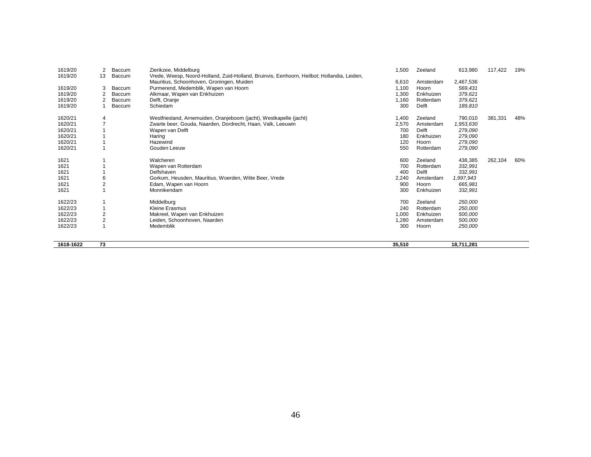| 1619/20<br>1619/20 | 2<br>13 | Baccum<br>Baccum | Zierikzee, Middelburg<br>Vrede, Weesp, Noord-Holland, Zuid-Holland, Bruinvis, Eenhoorn, Heilbot; Hollandia, Leiden, | 1,500  | Zeeland   | 613,980    | 117,422 | 19% |
|--------------------|---------|------------------|---------------------------------------------------------------------------------------------------------------------|--------|-----------|------------|---------|-----|
|                    |         |                  | Mauritius, Schoonhoven, Groningen, Muiden                                                                           | 6,610  | Amsterdam | 2,467,536  |         |     |
| 1619/20            | 3       | Baccum           | Purmerend, Medemblik, Wapen van Hoorn                                                                               | 1,100  | Hoorn     | 569,431    |         |     |
| 1619/20            | 2       | Baccum           | Alkmaar, Wapen van Enkhuizen                                                                                        | 1,300  | Enkhuizen | 379,621    |         |     |
| 1619/20            | 2       | Baccum           | Delft, Oranje                                                                                                       | 1,160  | Rotterdam | 379,621    |         |     |
| 1619/20            |         | Baccum           | Schiedam                                                                                                            | 300    | Delft     | 189,810    |         |     |
| 1620/21            | 4       |                  | Westfriesland, Arnemuiden, Oranjeboom (jacht), Westkapelle (jacht)                                                  | 1,400  | Zeeland   | 790,010    | 381,331 | 48% |
| 1620/21            |         |                  | Zwarte beer, Gouda, Naarden, Dordrecht, Haan, Valk, Leeuwin                                                         | 2,570  | Amsterdam | 1,953,630  |         |     |
| 1620/21            |         |                  | Wapen van Delft                                                                                                     | 700    | Delft     | 279,090    |         |     |
| 1620/21            |         |                  | Haring                                                                                                              | 180    | Enkhuizen | 279,090    |         |     |
| 1620/21            |         |                  | Hazewind                                                                                                            | 120    | Hoorn     | 279,090    |         |     |
| 1620/21            |         |                  | Gouden Leeuw                                                                                                        | 550    | Rotterdam | 279,090    |         |     |
| 1621               |         |                  | Walcheren                                                                                                           | 600    | Zeeland   | 438,385    | 262,104 | 60% |
| 1621               |         |                  | Wapen van Rotterdam                                                                                                 | 700    | Rotterdam | 332,991    |         |     |
| 1621               |         |                  | Delfshaven                                                                                                          | 400    | Delft     | 332,991    |         |     |
| 1621               |         |                  | Gorkum, Heusden, Mauritius, Woerden, Witte Beer, Vrede                                                              | 2,240  | Amsterdam | 1,997,943  |         |     |
| 1621               |         |                  | Edam, Wapen van Hoorn                                                                                               | 900    | Hoorn     | 665,981    |         |     |
| 1621               |         |                  | Monnikendam                                                                                                         | 300    | Enkhuizen | 332,991    |         |     |
| 1622/23            |         |                  | Middelburg                                                                                                          | 700    | Zeeland   | 250,000    |         |     |
| 1622/23            |         |                  | Kleine Erasmus                                                                                                      | 240    | Rotterdam | 250,000    |         |     |
| 1622/23            |         |                  | Makreel, Wapen van Enkhuizen                                                                                        | 1,000  | Enkhuizen | 500,000    |         |     |
| 1622/23            |         |                  | Leiden, Schoonhoven, Naarden                                                                                        | 1,280  | Amsterdam | 500,000    |         |     |
| 1622/23            |         |                  | Medemblik                                                                                                           | 300    | Hoorn     | 250,000    |         |     |
| 1618-1622          | 73      |                  |                                                                                                                     | 35,510 |           | 18,711,281 |         |     |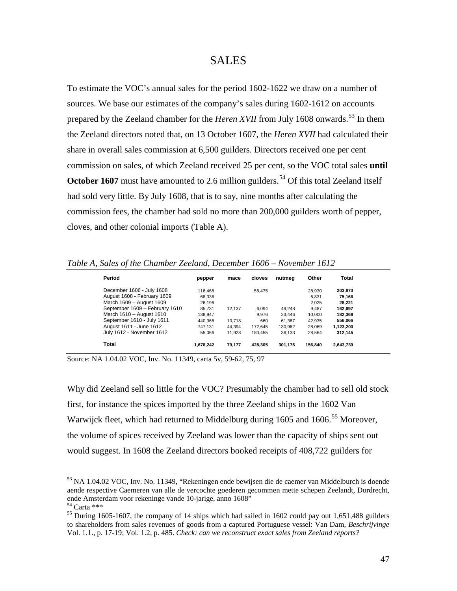#### SALES

To estimate the VOC's annual sales for the period 1602-1622 we draw on a number of sources. We base our estimates of the company's sales during 1602-1612 on accounts prepared by the Zeeland chamber for the *Heren XVII* from July 1608 onwards.<sup>[53](#page-44-0)</sup> In them the Zeeland directors noted that, on 13 October 1607, the *Heren XVII* had calculated their share in overall sales commission at 6,500 guilders. Directors received one per cent commission on sales, of which Zeeland received 25 per cent, so the VOC total sales **until October 1607** must have amounted to 2.6 million guilders.<sup>[54](#page-48-0)</sup> Of this total Zeeland itself had sold very little. By July 1608, that is to say, nine months after calculating the commission fees, the chamber had sold no more than 200,000 guilders worth of pepper, cloves, and other colonial imports (Table A).

*Table A, Sales of the Chamber Zeeland, December 1606 – November 1612*

| Period                         | pepper    | mace   | cloves  | nutmea  | Other   | Total     |
|--------------------------------|-----------|--------|---------|---------|---------|-----------|
| December 1606 - July 1608      | 116.468   |        | 58.475  |         | 28.930  | 203,873   |
| August 1608 - February 1609    | 68.336    |        |         |         | 6.831   | 75.166    |
| March 1609 - August 1609       | 26.196    |        |         |         | 2.025   | 28,221    |
| September 1609 - February 1610 | 85.731    | 12.137 | 6.094   | 49.248  | 9,487   | 162.697   |
| March 1610 - August 1610       | 138.947   |        | 9.976   | 23.446  | 10.000  | 182,369   |
| September 1610 - July 1611     | 440.366   | 10.718 | 660     | 61.387  | 42,935  | 556,066   |
| August 1611 - June 1612        | 747.131   | 44.394 | 172.645 | 130,962 | 28,069  | 1,123,200 |
| July 1612 - November 1612      | 55.066    | 11.928 | 180.455 | 36.133  | 28.564  | 312.145   |
| Total                          | 1.678.242 | 79,177 | 428.305 | 301,176 | 156.840 | 2,643,739 |

Source: NA 1.04.02 VOC, Inv. No. 11349, carta 5v, 59-62, 75, 97

Why did Zeeland sell so little for the VOC? Presumably the chamber had to sell old stock first, for instance the spices imported by the three Zeeland ships in the 1602 Van Warwijck fleet, which had returned to Middelburg during 1605 and 1606.<sup>[55](#page-48-1)</sup> Moreover, the volume of spices received by Zeeland was lower than the capacity of ships sent out would suggest. In 1608 the Zeeland directors booked receipts of 408,722 guilders for

<sup>&</sup>lt;sup>53</sup> NA 1.04.02 VOC, Inv. No. 11349, "Rekeningen ende bewijsen die de caemer van Middelburch is doende aende respective Caemeren van alle de vercochte goederen gecommen mette schepen Zeelandt, Dordrecht, ende Amsterdam voor rekeninge vande 10-jarige, anno 1608"

<span id="page-48-2"></span><span id="page-48-1"></span>

<span id="page-48-0"></span><sup>&</sup>lt;sup>54</sup> Carta \*\*\*<br><sup>55</sup> During 1605-1607, the company of 14 ships which had sailed in 1602 could pay out 1,651,488 guilders to shareholders from sales revenues of goods from a captured Portuguese vessel: Van Dam, *Beschrijvinge* Vol. 1.1., p. 17-19; Vol. 1.2, p. 485. *Check: can we reconstruct exact sales from Zeeland reports?*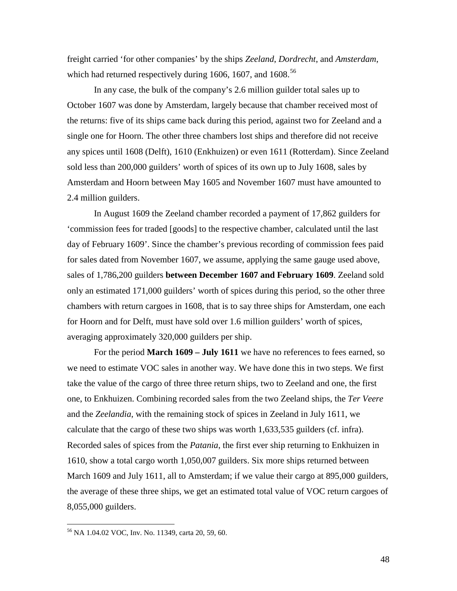freight carried 'for other companies' by the ships *Zeeland*, *Dordrecht*, and *Amsterdam*, which had returned respectively during 1606, 1607, and  $1608$ <sup>[56](#page-48-2)</sup>

In any case, the bulk of the company's 2.6 million guilder total sales up to October 1607 was done by Amsterdam, largely because that chamber received most of the returns: five of its ships came back during this period, against two for Zeeland and a single one for Hoorn. The other three chambers lost ships and therefore did not receive any spices until 1608 (Delft), 1610 (Enkhuizen) or even 1611 (Rotterdam). Since Zeeland sold less than 200,000 guilders' worth of spices of its own up to July 1608, sales by Amsterdam and Hoorn between May 1605 and November 1607 must have amounted to 2.4 million guilders.

In August 1609 the Zeeland chamber recorded a payment of 17,862 guilders for 'commission fees for traded [goods] to the respective chamber, calculated until the last day of February 1609'. Since the chamber's previous recording of commission fees paid for sales dated from November 1607, we assume, applying the same gauge used above, sales of 1,786,200 guilders **between December 1607 and February 1609**. Zeeland sold only an estimated 171,000 guilders' worth of spices during this period, so the other three chambers with return cargoes in 1608, that is to say three ships for Amsterdam, one each for Hoorn and for Delft, must have sold over 1.6 million guilders' worth of spices, averaging approximately 320,000 guilders per ship.

For the period **March 1609 – July 1611** we have no references to fees earned, so we need to estimate VOC sales in another way. We have done this in two steps. We first take the value of the cargo of three three return ships, two to Zeeland and one, the first one, to Enkhuizen. Combining recorded sales from the two Zeeland ships, the *Ter Veere* and the *Zeelandia*, with the remaining stock of spices in Zeeland in July 1611, we calculate that the cargo of these two ships was worth 1,633,535 guilders (cf. infra). Recorded sales of spices from the *Patania*, the first ever ship returning to Enkhuizen in 1610, show a total cargo worth 1,050,007 guilders. Six more ships returned between March 1609 and July 1611, all to Amsterdam; if we value their cargo at 895,000 guilders, the average of these three ships, we get an estimated total value of VOC return cargoes of 8,055,000 guilders.

<span id="page-49-0"></span> <sup>56</sup> NA 1.04.02 VOC, Inv. No. 11349, carta 20, 59, 60.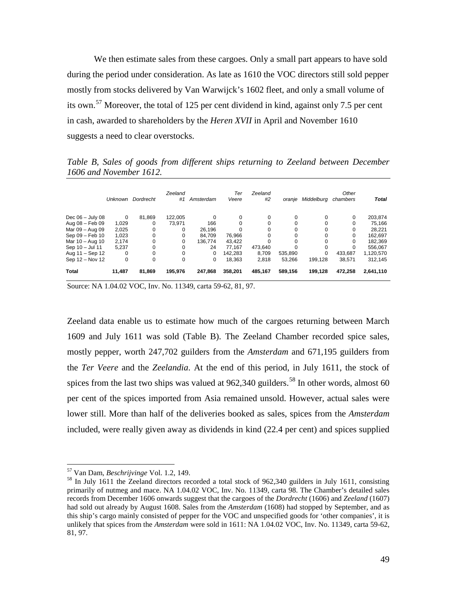We then estimate sales from these cargoes. Only a small part appears to have sold during the period under consideration. As late as 1610 the VOC directors still sold pepper mostly from stocks delivered by Van Warwijck's 1602 fleet, and only a small volume of its own.<sup>[57](#page-49-0)</sup> Moreover, the total of 125 per cent dividend in kind, against only 7.5 per cent in cash, awarded to shareholders by the *Heren XVII* in April and November 1610 suggests a need to clear overstocks.

*Table B, Sales of goods from different ships returning to Zeeland between December 1606 and November 1612.*

|                    | <b>Unknown</b> | Dordrecht | Zeeland<br>#1 | Amsterdam | Ter<br>Veere | Zeeland<br>#2 | oranie   | Middelbura | Other<br>chambers | <b>Total</b> |
|--------------------|----------------|-----------|---------------|-----------|--------------|---------------|----------|------------|-------------------|--------------|
| Dec $06 -$ July 08 | 0              | 81.869    | 122.005       | 0         | 0            | 0             | 0        | 0          | 0                 | 203,874      |
| Aug 08 - Feb 09    | 1,029          | 0         | 73.971        | 166       | 0            | 0             | 0        | 0          | 0                 | 75,166       |
| Mar 09 - Aug 09    | 2,025          | 0         | 0             | 26.196    | $\Omega$     | 0             | 0        | 0          | 0                 | 28,221       |
| Sep 09 - Feb 10    | 1,023          | 0         | 0             | 84.709    | 76,966       | 0             | 0        | 0          | 0                 | 162,697      |
| Mar 10 - Aug 10    | 2.174          | 0         | 0             | 136.774   | 43.422       | U             | 0        | $\Omega$   | 0                 | 182,369      |
| Sep 10 - Jul 11    | 5.237          | 0         | $\Omega$      | 24        | 77.167       | 473.640       | $\Omega$ | 0          | $\Omega$          | 556.067      |
| Aug 11 - Sep 12    | 0              | 0         | $\Omega$      | 0         | 142.283      | 8,709         | 535,890  | 0          | 433,687           | 1,120,570    |
| Sep 12 - Nov 12    | 0              | 0         | $\Omega$      | 0         | 18.363       | 2.818         | 53.266   | 199.128    | 38.571            | 312,145      |
| <b>Total</b>       | 11,487         | 81,869    | 195,976       | 247,868   | 358.201      | 485,167       | 589,156  | 199,128    | 472,258           | 2,641,110    |

Source: NA 1.04.02 VOC, Inv. No. 11349, carta 59-62, 81, 97.

Zeeland data enable us to estimate how much of the cargoes returning between March 1609 and July 1611 was sold (Table B). The Zeeland Chamber recorded spice sales, mostly pepper, worth 247,702 guilders from the *Amsterdam* and 671,195 guilders from the *Ter Veere* and the *Zeelandia*. At the end of this period, in July 1611, the stock of spices from the last two ships was valued at  $962,340$  guilders.<sup>[58](#page-50-0)</sup> In other words, almost 60 per cent of the spices imported from Asia remained unsold. However, actual sales were lower still. More than half of the deliveries booked as sales, spices from the *Amsterdam*  included, were really given away as dividends in kind (22.4 per cent) and spices supplied

<span id="page-50-1"></span>

<span id="page-50-0"></span><sup>&</sup>lt;sup>57</sup> Van Dam, *Beschrijvinge* Vol. 1.2, 149.<br><sup>58</sup> In July 1611 the Zeeland directors recorded a total stock of 962,340 guilders in July 1611, consisting primarily of nutmeg and mace. NA 1.04.02 VOC, Inv. No. 11349, carta 98. The Chamber's detailed sales records from December 1606 onwards suggest that the cargoes of the *Dordrecht* (1606) and *Zeeland* (1607) had sold out already by August 1608. Sales from the *Amsterdam* (1608) had stopped by September, and as this ship's cargo mainly consisted of pepper for the VOC and unspecified goods for 'other companies', it is unlikely that spices from the *Amsterdam* were sold in 1611: NA 1.04.02 VOC, Inv. No. 11349, carta 59-62, 81, 97.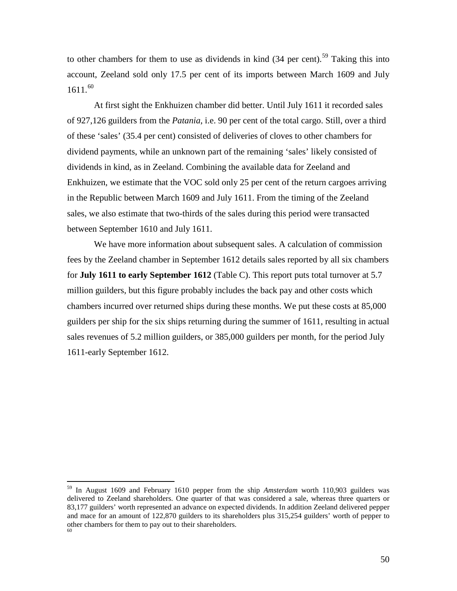to other chambers for them to use as dividends in kind  $(34 \text{ per cent})$ .<sup>[59](#page-50-1)</sup> Taking this into account, Zeeland sold only 17.5 per cent of its imports between March 1609 and July 1611. [60](#page-51-0)

At first sight the Enkhuizen chamber did better. Until July 1611 it recorded sales of 927,126 guilders from the *Patania*, i.e. 90 per cent of the total cargo. Still, over a third of these 'sales' (35.4 per cent) consisted of deliveries of cloves to other chambers for dividend payments, while an unknown part of the remaining 'sales' likely consisted of dividends in kind, as in Zeeland. Combining the available data for Zeeland and Enkhuizen, we estimate that the VOC sold only 25 per cent of the return cargoes arriving in the Republic between March 1609 and July 1611. From the timing of the Zeeland sales, we also estimate that two-thirds of the sales during this period were transacted between September 1610 and July 1611.

We have more information about subsequent sales. A calculation of commission fees by the Zeeland chamber in September 1612 details sales reported by all six chambers for **July 1611 to early September 1612** (Table C). This report puts total turnover at 5.7 million guilders, but this figure probably includes the back pay and other costs which chambers incurred over returned ships during these months. We put these costs at 85,000 guilders per ship for the six ships returning during the summer of 1611, resulting in actual sales revenues of 5.2 million guilders, or 385,000 guilders per month, for the period July 1611-early September 1612.

<span id="page-51-1"></span><span id="page-51-0"></span> <sup>59</sup> In August 1609 and February 1610 pepper from the ship *Amsterdam* worth 110,903 guilders was delivered to Zeeland shareholders. One quarter of that was considered a sale, whereas three quarters or 83,177 guilders' worth represented an advance on expected dividends. In addition Zeeland delivered pepper and mace for an amount of 122,870 guilders to its shareholders plus 315,254 guilders' worth of pepper to other chambers for them to pay out to their shareholders.  $\frac{60}{20}$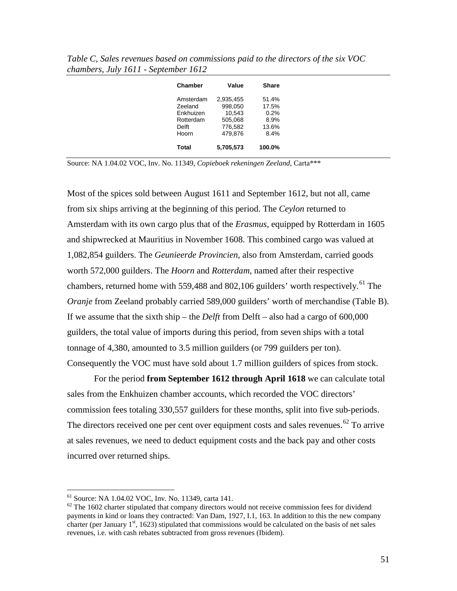| Chamber   | Value     | <b>Share</b> |
|-----------|-----------|--------------|
| Amsterdam | 2,935,455 | 51.4%        |
| Zeeland   | 998,050   | 17.5%        |
| Enkhuizen | 10.543    | 0.2%         |
| Rotterdam | 505,068   | 8.9%         |
| Delft     | 776.582   | 13.6%        |
| Hoorn     | 479.876   | 8.4%         |
| Total     | 5,705,573 | 100.0%       |

*Table C, Sales revenues based on commissions paid to the directors of the six VOC chambers, July 1611 - September 1612*

Source: NA 1.04.02 VOC, Inv. No. 11349, *Copieboek rekeningen Zeeland*, Carta\*\*\*

Most of the spices sold between August 1611 and September 1612, but not all, came from six ships arriving at the beginning of this period. The *Ceylon* returned to Amsterdam with its own cargo plus that of the *Erasmus*, equipped by Rotterdam in 1605 and shipwrecked at Mauritius in November 1608. This combined cargo was valued at 1,082,854 guilders. The *Geunieerde Provincien*, also from Amsterdam, carried goods worth 572,000 guilders. The *Hoorn* and *Rotterdam*, named after their respective chambers, returned home with 559,488 and 802,106 guilders' worth respectively.<sup>[61](#page-51-1)</sup> The *Oranje* from Zeeland probably carried 589,000 guilders' worth of merchandise (Table B). If we assume that the sixth ship – the *Delft* from Delft – also had a cargo of 600,000 guilders, the total value of imports during this period, from seven ships with a total tonnage of 4,380, amounted to 3.5 million guilders (or 799 guilders per ton). Consequently the VOC must have sold about 1.7 million guilders of spices from stock.

For the period **from September 1612 through April 1618** we can calculate total sales from the Enkhuizen chamber accounts, which recorded the VOC directors' commission fees totaling 330,557 guilders for these months, split into five sub-periods. The directors received one per cent over equipment costs and sales revenues.<sup>[62](#page-52-0)</sup> To arrive at sales revenues, we need to deduct equipment costs and the back pay and other costs incurred over returned ships.

<span id="page-52-0"></span><sup>&</sup>lt;sup>61</sup> Source: NA 1.04.02 VOC, Inv. No. 11349, carta 141.<br><sup>62</sup> The 1602 charter stipulated that company directors would not receive commission fees for dividend payments in kind or loans they contracted: Van Dam, 1927, I.1, 163. In addition to this the new company charter (per January  $1<sup>st</sup>$ , 1623) stipulated that commissions would be calculated on the basis of net sales revenues, i.e. with cash rebates subtracted from gross revenues (Ibidem).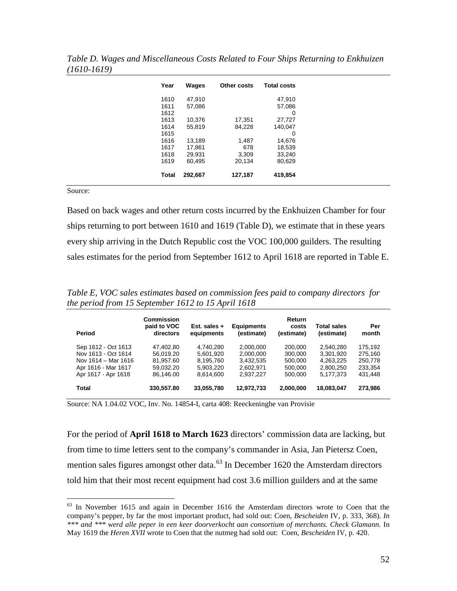| Year  | Wages   | Other costs | <b>Total costs</b> |
|-------|---------|-------------|--------------------|
|       |         |             |                    |
| 1610  | 47,910  |             | 47,910             |
| 1611  | 57,086  |             | 57,086             |
| 1612  |         |             | 0                  |
| 1613  | 10,376  | 17,351      | 27,727             |
| 1614  | 55,819  | 84,228      | 140,047            |
| 1615  |         |             | 0                  |
| 1616  | 13,189  | 1,487       | 14,676             |
| 1617  | 17,861  | 678         | 18,539             |
| 1618  | 29,931  | 3,309       | 33,240             |
| 1619  | 60,495  | 20,134      | 80,629             |
|       |         |             |                    |
| Total | 292,667 | 127,187     | 419,854            |
|       |         |             |                    |

*Table D. Wages and Miscellaneous Costs Related to Four Ships Returning to Enkhuizen (1610-1619)*

Source:

Based on back wages and other return costs incurred by the Enkhuizen Chamber for four ships returning to port between 1610 and 1619 (Table D), we estimate that in these years every ship arriving in the Dutch Republic cost the VOC 100,000 guilders. The resulting sales estimates for the period from September 1612 to April 1618 are reported in Table E.

*Table E, VOC sales estimates based on commission fees paid to company directors for the period from 15 September 1612 to 15 April 1618*

| Period                                                                                                          | <b>Commission</b><br>paid to VOC<br>directors                 | Est. sales +<br>equipments                                    | <b>Equipments</b><br>(estimate)                               | Return<br>costs<br>(estimate)                       | Total sales<br>(estimate)                                     | Per<br>month                                        |
|-----------------------------------------------------------------------------------------------------------------|---------------------------------------------------------------|---------------------------------------------------------------|---------------------------------------------------------------|-----------------------------------------------------|---------------------------------------------------------------|-----------------------------------------------------|
| Sep 1612 - Oct 1613<br>Nov 1613 - Oct 1614<br>Nov 1614 - Mar 1616<br>Apr 1616 - Mar 1617<br>Apr 1617 - Apr 1618 | 47.402.80<br>56,019.20<br>81.957.60<br>59,032.20<br>86.146.00 | 4.740.280<br>5,601,920<br>8,195,760<br>5,903,220<br>8.614.600 | 2.000.000<br>2,000,000<br>3.432.535<br>2,602,971<br>2.937.227 | 200,000<br>300,000<br>500,000<br>500,000<br>500,000 | 2,540,280<br>3,301,920<br>4.263.225<br>2,800,250<br>5.177.373 | 175.192<br>275,160<br>250,778<br>233,354<br>431,448 |
| Total                                                                                                           | 330,557.80                                                    | 33,055,780                                                    | 12,972,733                                                    | 2,000,000                                           | 18,083,047                                                    | 273,986                                             |

<span id="page-53-0"></span>Source: NA 1.04.02 VOC, Inv. No. 14854-I, carta 408: Reeckeninghe van Provisie

For the period of **April 1618 to March 1623** directors' commission data are lacking, but from time to time letters sent to the company's commander in Asia, Jan Pietersz Coen, mention sales figures amongst other data.<sup>[63](#page-52-0)</sup> In December 1620 the Amsterdam directors told him that their most recent equipment had cost 3.6 million guilders and at the same

 $63$  In November 1615 and again in December 1616 the Amsterdam directors wrote to Coen that the company's pepper, by far the most important product, had sold out: Coen, *Bescheiden* IV, p. 333, 368). *In \*\*\* and \*\*\* werd alle peper in een keer doorverkocht aan consortium of merchants. Check Glamann.* In May 1619 the *Heren XVII* wrote to Coen that the nutmeg had sold out: Coen, *Bescheiden* IV, p. 420.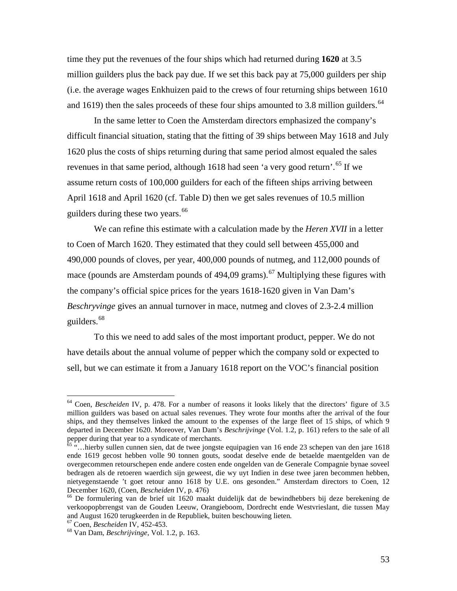time they put the revenues of the four ships which had returned during **1620** at 3.5 million guilders plus the back pay due. If we set this back pay at 75,000 guilders per ship (i.e. the average wages Enkhuizen paid to the crews of four returning ships between 1610 and 1619) then the sales proceeds of these four ships amounted to 3.8 million guilders.<sup>[64](#page-53-0)</sup>

In the same letter to Coen the Amsterdam directors emphasized the company's difficult financial situation, stating that the fitting of 39 ships between May 1618 and July 1620 plus the costs of ships returning during that same period almost equaled the sales revenues in that same period, although 1618 had seen 'a very good return'.<sup>[65](#page-54-0)</sup> If we assume return costs of 100,000 guilders for each of the fifteen ships arriving between April 1618 and April 1620 (cf. Table D) then we get sales revenues of 10.5 million guilders during these two years.<sup>[66](#page-54-1)</sup>

We can refine this estimate with a calculation made by the *Heren XVII* in a letter to Coen of March 1620. They estimated that they could sell between 455,000 and 490,000 pounds of cloves, per year, 400,000 pounds of nutmeg, and 112,000 pounds of mace (pounds are Amsterdam pounds of 494,09 grams).<sup>[67](#page-54-2)</sup> Multiplying these figures with the company's official spice prices for the years 1618-1620 given in Van Dam's *Beschryvinge* gives an annual turnover in mace, nutmeg and cloves of 2.3-2.4 million guilders. [68](#page-54-3)

To this we need to add sales of the most important product, pepper. We do not have details about the annual volume of pepper which the company sold or expected to sell, but we can estimate it from a January 1618 report on the VOC's financial position

 <sup>64</sup> Coen, *Bescheiden* IV, p. 478. For a number of reasons it looks likely that the directors' figure of 3.5 million guilders was based on actual sales revenues. They wrote four months after the arrival of the four ships, and they themselves linked the amount to the expenses of the large fleet of 15 ships, of which 9 departed in December 1620. Moreover, Van Dam's *Beschrijvinge* (Vol. 1.2, p. 161) refers to the sale of all pepper during that year to a syndicate of merchants.

<span id="page-54-4"></span><span id="page-54-0"></span><sup>65</sup> "…hierby sullen cunnen sien, dat de twee jongste equipagien van 16 ende 23 schepen van den jare 1618 ende 1619 gecost hebben volle 90 tonnen gouts, soodat deselve ende de betaelde maentgelden van de overgecommen retourschepen ende andere costen ende ongelden van de Generale Compagnie bynae soveel bedragen als de retoeren waerdich sijn geweest, die wy uyt Indien in dese twee jaren becommen hebben, nietyegenstaende 't goet retour anno 1618 by U.E. ons gesonden." Amsterdam directors to Coen, 12 December 1620, (Coen, *Bescheiden* IV, p. 476)<br><sup>66</sup> De formulering van de brief uit 1620 maakt duidelijk dat de bewindhebbers bij deze berekening de

<span id="page-54-1"></span>verkoopopbrrengst van de Gouden Leeuw, Orangieboom, Dordrecht ende Westvrieslant, die tussen May and August 1620 terugkeerden in de Republiek, buiten beschouwing lieten*.* <sup>67</sup> Coen, *Bescheiden* IV, 452-453. <sup>68</sup> Van Dam, *Beschrijvinge*, Vol. 1.2, p. 163.

<span id="page-54-2"></span>

<span id="page-54-3"></span>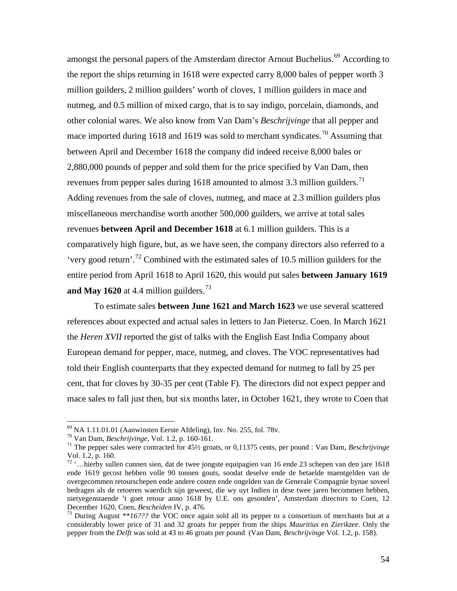amongst the personal papers of the Amsterdam director Arnout Buchelius.<sup>[69](#page-54-4)</sup> According to the report the ships returning in 1618 were expected carry 8,000 bales of pepper worth 3 million guilders, 2 million guilders' worth of cloves, 1 million guilders in mace and nutmeg, and 0.5 million of mixed cargo, that is to say indigo, porcelain, diamonds, and other colonial wares. We also know from Van Dam's *Beschrijvinge* that all pepper and mace imported during 1618 and 1619 was sold to merchant syndicates.<sup>[70](#page-55-0)</sup> Assuming that between April and December 1618 the company did indeed receive 8,000 bales or 2,880,000 pounds of pepper and sold them for the price specified by Van Dam, then revenues from pepper sales during  $1618$  amounted to almost 3.3 million guilders.<sup>[71](#page-55-1)</sup> Adding revenues from the sale of cloves, nutmeg, and mace at 2.3 million guilders plus miscellaneous merchandise worth another 500,000 guilders, we arrive at total sales revenues **between April and December 1618** at 6.1 million guilders. This is a comparatively high figure, but, as we have seen, the company directors also referred to a 'very good return'. [72](#page-55-2) Combined with the estimated sales of 10.5 million guilders for the entire period from April 1618 to April 1620, this would put sales **between January 1619 and May 1620** at 4.4 million guilders.<sup>[73](#page-55-3)</sup>

To estimate sales **between June 1621 and March 1623** we use several scattered references about expected and actual sales in letters to Jan Pietersz. Coen. In March 1621 the *Heren XVII* reported the gist of talks with the English East India Company about European demand for pepper, mace, nutmeg, and cloves. The VOC representatives had told their English counterparts that they expected demand for nutmeg to fall by 25 per cent, that for cloves by 30-35 per cent (Table F). The directors did not expect pepper and mace sales to fall just then, but six months later, in October 1621, they wrote to Coen that

<span id="page-55-1"></span><span id="page-55-0"></span>

<sup>&</sup>lt;sup>69</sup> NA 1.11.01.01 (Aanwinsten Eerste Afdeling), Inv. No. 255, fol. 78v.<br><sup>70</sup> Van Dam, *Beschrijvinge*, Vol. 1.2, p. 160-161.<br><sup>71</sup> The pepper sales were contracted for 45½ groats, or 0,11375 cents, per pound : Van Dam, *B* Vol. 1.2, p. 160.

<span id="page-55-4"></span><span id="page-55-2"></span><sup>72</sup> '…hierby sullen cunnen sien, dat de twee jongste equipagien van 16 ende 23 schepen van den jare 1618 ende 1619 gecost hebben volle 90 tonnen gouts, soodat deselve ende de betaelde maentgelden van de overgecommen retourschepen ende andere costen ende ongelden van de Generale Compagnie bynae soveel bedragen als de retoeren waerdich sijn geweest, die wy uyt Indien in dese twee jaren becommen hebben, nietyegenstaende 't goet retour anno 1618 by U.E. ons gesonden', Amsterdam directors to Coen, 12<br>December 1620, Coen, Bescheiden IV, p. 476.

<span id="page-55-3"></span><sup>&</sup>lt;sup>73</sup> During August \*\*16??? the VOC once again sold all its pepper to a consortium of merchants but at a considerably lower price of 31 and 32 groats for pepper from the ships *Mauritius* en *Zierikzee*. Only the pepper from the *Delft* was sold at 43 to 46 groats per pound (Van Dam, *Beschrijvinge* Vol. 1.2, p. 158).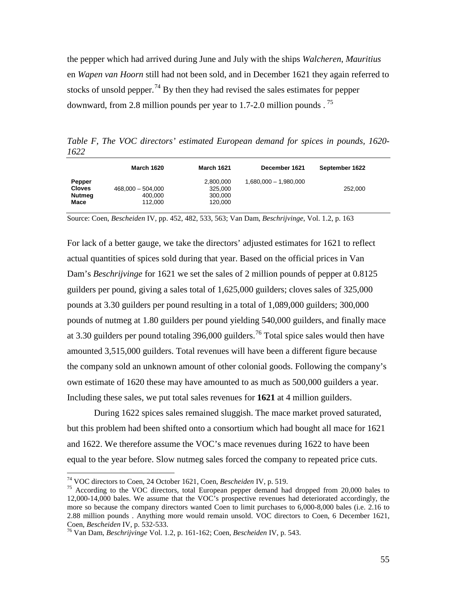the pepper which had arrived during June and July with the ships *Walcheren*, *Mauritius* en *Wapen van Hoorn* still had not been sold, and in December 1621 they again referred to stocks of unsold pepper.<sup>[74](#page-55-4)</sup> By then they had revised the sales estimates for pepper downward, from 2.8 million pounds per year to 1.7-2.0 million pounds.<sup>[75](#page-56-0)</sup>

*Table F, The VOC directors' estimated European demand for spices in pounds, 1620- 1622*

|                                                  | <b>March 1620</b>                         | <b>March 1621</b>                          | December 1621         | September 1622 |
|--------------------------------------------------|-------------------------------------------|--------------------------------------------|-----------------------|----------------|
| Pepper<br><b>Cloves</b><br><b>Nutmeg</b><br>Mace | $468,000 - 504,000$<br>400,000<br>112,000 | 2,800,000<br>325,000<br>300,000<br>120.000 | 1,680,000 - 1,980,000 | 252,000        |

Source: Coen, *Bescheiden* IV, pp. 452, 482, 533, 563; Van Dam, *Beschrijvinge*, Vol. 1.2, p. 163

For lack of a better gauge, we take the directors' adjusted estimates for 1621 to reflect actual quantities of spices sold during that year. Based on the official prices in Van Dam's *Beschrijvinge* for 1621 we set the sales of 2 million pounds of pepper at 0.8125 guilders per pound, giving a sales total of 1,625,000 guilders; cloves sales of 325,000 pounds at 3.30 guilders per pound resulting in a total of 1,089,000 guilders; 300,000 pounds of nutmeg at 1.80 guilders per pound yielding 540,000 guilders, and finally mace at 3.30 guilders per pound totaling 396,000 guilders.<sup>[76](#page-56-1)</sup> Total spice sales would then have amounted 3,515,000 guilders. Total revenues will have been a different figure because the company sold an unknown amount of other colonial goods. Following the company's own estimate of 1620 these may have amounted to as much as 500,000 guilders a year. Including these sales, we put total sales revenues for **1621** at 4 million guilders.

<span id="page-56-2"></span>During 1622 spices sales remained sluggish. The mace market proved saturated, but this problem had been shifted onto a consortium which had bought all mace for 1621 and 1622. We therefore assume the VOC's mace revenues during 1622 to have been equal to the year before. Slow nutmeg sales forced the company to repeated price cuts.

<span id="page-56-0"></span><sup>74</sup> VOC directors to Coen, 24 October 1621, Coen, *Bescheiden* IV, p. 519. <sup>75</sup> According to the VOC directors, total European pepper demand had dropped from 20,000 bales to 12,000-14,000 bales. We assume that the VOC's prospective revenues had deteriorated accordingly, the more so because the company directors wanted Coen to limit purchases to 6,000-8,000 bales (i.e. 2.16 to 2.88 million pounds . Anything more would remain unsold. VOC directors to Coen, 6 December 1621, Coen, Bescheiden IV, p. 532-533.

<span id="page-56-1"></span><sup>&</sup>lt;sup>76</sup> Van Dam, *Beschrijvinge* Vol. 1.2, p. 161-162; Coen, *Bescheiden* IV, p. 543.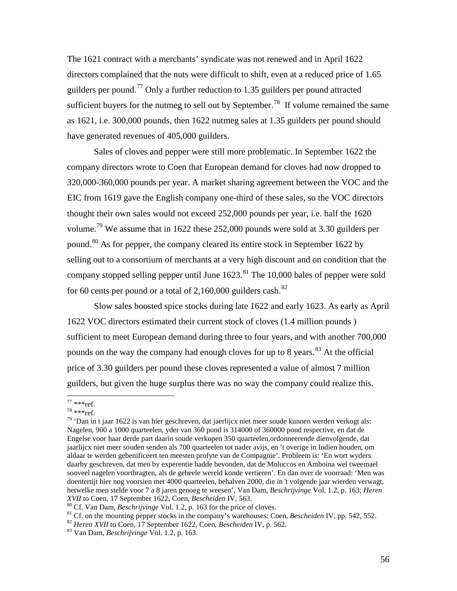The 1621 contract with a merchants' syndicate was not renewed and in April 1622 directors complained that the nuts were difficult to shift, even at a reduced price of 1.65 guilders per pound.[77](#page-56-2) Only a further reduction to 1.35 guilders per pound attracted sufficient buyers for the nutmeg to sell out by September.<sup>[78](#page-57-0)</sup> If volume remained the same as 1621, i.e. 300,000 pounds, then 1622 nutmeg sales at 1.35 guilders per pound should have generated revenues of 405,000 guilders.

Sales of cloves and pepper were still more problematic. In September 1622 the company directors wrote to Coen that European demand for cloves had now dropped to 320,000-360,000 pounds per year. A market sharing agreement between the VOC and the EIC from 1619 gave the English company one-third of these sales, so the VOC directors thought their own sales would not exceed 252,000 pounds per year, i.e. half the 1620 volume.<sup>[79](#page-57-1)</sup> We assume that in 1622 these 252,000 pounds were sold at 3.30 guilders per pound.[80](#page-57-2) As for pepper, the company cleared its entire stock in September 1622 by selling out to a consortium of merchants at a very high discount and on condition that the company stopped selling pepper until June  $1623$ .<sup>[81](#page-57-3)</sup> The 10,000 bales of pepper were sold for 60 cents per pound or a total of  $2,160,000$  guilders cash.<sup>[82](#page-57-4)</sup>

Slow sales boosted spice stocks during late 1622 and early 1623. As early as April 1622 VOC directors estimated their current stock of cloves (1.4 million pounds ) sufficient to meet European demand during three to four years, and with another 700,000 pounds on the way the company had enough cloves for up to 8 years.<sup>[83](#page-57-5)</sup> At the official price of 3.30 guilders per pound these cloves represented a value of almost 7 million guilders, but given the huge surplus there was no way the company could realize this.

<span id="page-57-1"></span><span id="page-57-0"></span>

<sup>&</sup>lt;sup>77</sup> \*\*\*ref.<br><sup>78</sup> \*\*\*ref.<br><sup>79</sup> 'Dan in t jaar 1622 is van hier geschreven, dat jaerlijcx niet meer soude kunnen werden verkogt als: Nagelen, 900 a 1000 quarteelen, yder van 360 pond is 314000 of 360000 pond respective, en dat de Engelse voor haar derde part daarin soude verkopen 350 quarteelen,ordonneerende dienvolgende, dat jaarlijcx niet meer souden senden als 700 quarteelen tot nader avijs, en 't overige in Indien houden, om aldaar te werden gebenificeert ten meesten profyte van de Compagnie'. Probleem is: 'En wort wyders daarby geschreven, dat men by experentie hadde bevonden, dat de Moluccos en Amboina wel tweemael sooveel nagelen voortbragten, als de geheele wereld konde vertieren'. En dan over de voorraad: 'Men was doentertijt hier nog voorsien met 4000 quarteelen, behalven 2000, die in 't volgende jaar wierden verwagt, hetwelke men stelde voor 7 a 8 jaren genoeg te weesen', Van Dam, *Beschrijvinge* Vol. 1.2, p. 163; *Heren* 

<span id="page-57-3"></span><span id="page-57-2"></span><sup>&</sup>lt;sup>80</sup> Cf. Van Dam, *Beschrijvinge* Vol. 1.2, p. 163 for the price of cloves.<br><sup>81</sup> Cf. on the mounting pepper stocks in the company's warehouses: Coen, *Bescheiden* IV, pp. 542, 552.<br><sup>82</sup> *Heren XVII* to Coen, 17 September

<span id="page-57-4"></span>

<span id="page-57-5"></span>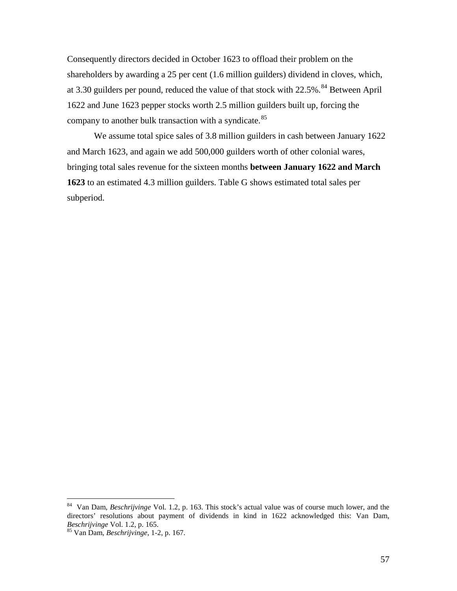Consequently directors decided in October 1623 to offload their problem on the shareholders by awarding a 25 per cent (1.6 million guilders) dividend in cloves, which, at 3.30 guilders per pound, reduced the value of that stock with 22.5%.<sup>[84](#page-57-2)</sup> Between April 1622 and June 1623 pepper stocks worth 2.5 million guilders built up, forcing the company to another bulk transaction with a syndicate.<sup>[85](#page-58-0)</sup>

We assume total spice sales of 3.8 million guilders in cash between January 1622 and March 1623, and again we add 500,000 guilders worth of other colonial wares, bringing total sales revenue for the sixteen months **between January 1622 and March 1623** to an estimated 4.3 million guilders. Table G shows estimated total sales per subperiod.

 <sup>84</sup> Van Dam, *Beschrijvinge* Vol. 1.2, p. 163. This stock's actual value was of course much lower, and the directors' resolutions about payment of dividends in kind in 1622 acknowledged this: Van Dam, *Beschrijvinge* Vol. 1.2, p. 165.

<span id="page-58-0"></span><sup>&</sup>lt;sup>85</sup> Van Dam, *Beschrijvinge*, 1-2, p. 167.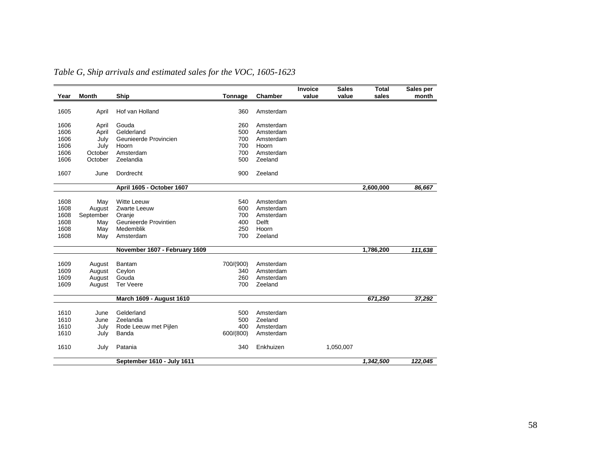| Year | Month     | Ship                          | Tonnage   | Chamber      | Invoice<br>value | <b>Sales</b><br>value | <b>Total</b><br>sales | Sales per<br>month |
|------|-----------|-------------------------------|-----------|--------------|------------------|-----------------------|-----------------------|--------------------|
| 1605 | April     | Hof van Holland               | 360       | Amsterdam    |                  |                       |                       |                    |
|      |           |                               |           |              |                  |                       |                       |                    |
| 1606 | April     | Gouda                         | 260       | Amsterdam    |                  |                       |                       |                    |
| 1606 | April     | Gelderland                    | 500       | Amsterdam    |                  |                       |                       |                    |
| 1606 | July      | Geunieerde Provincien         | 700       | Amsterdam    |                  |                       |                       |                    |
| 1606 | July      | Hoorn                         | 700       | Hoorn        |                  |                       |                       |                    |
| 1606 | October   | Amsterdam                     | 700       | Amsterdam    |                  |                       |                       |                    |
| 1606 | October   | Zeelandia                     | 500       | Zeeland      |                  |                       |                       |                    |
| 1607 | June      | Dordrecht                     | 900       | Zeeland      |                  |                       |                       |                    |
|      |           | April 1605 - October 1607     |           |              |                  |                       | 2,600,000             | 86,667             |
|      |           |                               |           |              |                  |                       |                       |                    |
| 1608 | May       | <b>Witte Leeuw</b>            | 540       | Amsterdam    |                  |                       |                       |                    |
| 1608 | August    | Zwarte Leeuw                  | 600       | Amsterdam    |                  |                       |                       |                    |
| 1608 | September | Oranje                        | 700       | Amsterdam    |                  |                       |                       |                    |
| 1608 | May       | Geunieerde Provintien         | 400       | <b>Delft</b> |                  |                       |                       |                    |
| 1608 | May       | Medemblik                     | 250       | Hoorn        |                  |                       |                       |                    |
| 1608 | May       | Amsterdam                     | 700       | Zeeland      |                  |                       |                       |                    |
|      |           | November 1607 - February 1609 |           |              |                  |                       | 1,786,200             | 111,638            |
| 1609 | August    | Bantam                        | 700/(900) | Amsterdam    |                  |                       |                       |                    |
| 1609 | August    | Ceylon                        | 340       | Amsterdam    |                  |                       |                       |                    |
| 1609 | August    | Gouda                         | 260       | Amsterdam    |                  |                       |                       |                    |
| 1609 | August    | <b>Ter Veere</b>              | 700       | Zeeland      |                  |                       |                       |                    |
|      |           |                               |           |              |                  |                       |                       |                    |
|      |           | March 1609 - August 1610      |           |              |                  |                       | 671,250               | 37,292             |
| 1610 | June      | Gelderland                    | 500       | Amsterdam    |                  |                       |                       |                    |
| 1610 | June      | Zeelandia                     | 500       | Zeeland      |                  |                       |                       |                    |
| 1610 | July      | Rode Leeuw met Pijlen         | 400       | Amsterdam    |                  |                       |                       |                    |
| 1610 | July      | Banda                         | 600/(800) | Amsterdam    |                  |                       |                       |                    |
|      |           |                               |           |              |                  |                       |                       |                    |
| 1610 | July      | Patania                       | 340       | Enkhuizen    |                  | 1,050,007             |                       |                    |
|      |           | September 1610 - July 1611    |           |              |                  |                       | 1,342,500             | 122,045            |

*Table G, Ship arrivals and estimated sales for the VOC, 1605-1623*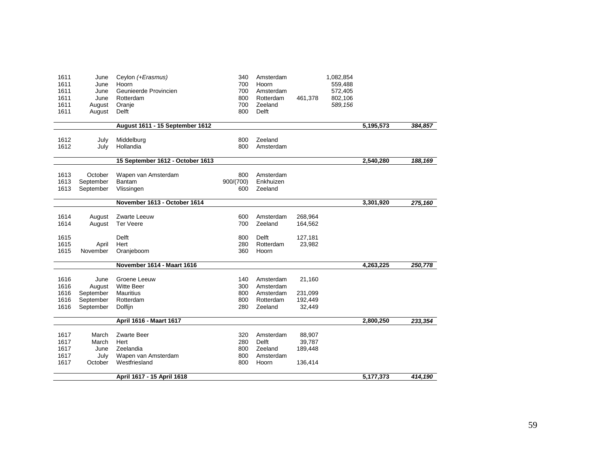| 1611<br>1611<br>1611<br>1611<br>1611<br>1611 | June<br>June<br>June<br>June<br>August<br>August | Ceylon (+Erasmus)<br>Hoorn<br>Geunieerde Provincien<br>Rotterdam<br>Oranje<br>Delft | 340<br>700<br>700<br>800<br>700<br>800 | Amsterdam<br>Hoorn<br>Amsterdam<br>Rotterdam<br>Zeeland<br>Delft | 461,378                                | 1,082,854<br>559,488<br>572,405<br>802,106<br>589,156 |           |         |
|----------------------------------------------|--------------------------------------------------|-------------------------------------------------------------------------------------|----------------------------------------|------------------------------------------------------------------|----------------------------------------|-------------------------------------------------------|-----------|---------|
|                                              |                                                  | August 1611 - 15 September 1612                                                     |                                        |                                                                  |                                        |                                                       | 5,195,573 | 384,857 |
| 1612<br>1612                                 | July<br>July                                     | Middelburg<br>Hollandia                                                             | 800<br>800                             | Zeeland<br>Amsterdam                                             |                                        |                                                       |           |         |
|                                              |                                                  | 15 September 1612 - October 1613                                                    |                                        |                                                                  |                                        |                                                       | 2,540,280 | 188,169 |
| 1613<br>1613<br>1613                         | October<br>September<br>September                | Wapen van Amsterdam<br>Bantam<br>Vlissingen                                         | 800<br>900/(700)<br>600                | Amsterdam<br>Enkhuizen<br>Zeeland                                |                                        |                                                       |           |         |
|                                              |                                                  | November 1613 - October 1614                                                        |                                        |                                                                  |                                        |                                                       | 3,301,920 | 275,160 |
| 1614<br>1614                                 | August<br>August                                 | Zwarte Leeuw<br><b>Ter Veere</b>                                                    | 600<br>700                             | Amsterdam<br>Zeeland                                             | 268,964<br>164,562                     |                                                       |           |         |
| 1615<br>1615<br>1615                         | April<br>November                                | Delft<br>Hert<br>Oranjeboom                                                         | 800<br>280<br>360                      | Delft<br>Rotterdam<br>Hoorn                                      | 127,181<br>23,982                      |                                                       |           |         |
|                                              |                                                  | November 1614 - Maart 1616                                                          |                                        |                                                                  |                                        |                                                       | 4,263,225 | 250,778 |
| 1616<br>1616                                 | June<br>August                                   | Groene Leeuw<br><b>Witte Beer</b>                                                   | 140<br>300                             | Amsterdam<br>Amsterdam                                           | 21,160                                 |                                                       |           |         |
| 1616                                         | September                                        | Mauritius                                                                           | 800                                    | Amsterdam                                                        | 231,099                                |                                                       |           |         |
| 1616<br>1616                                 | September<br>September                           | Rotterdam<br>Dolfijn                                                                | 800<br>280                             | Rotterdam<br>Zeeland                                             | 192,449<br>32,449                      |                                                       |           |         |
|                                              |                                                  | April 1616 - Maart 1617                                                             |                                        |                                                                  |                                        |                                                       | 2,800,250 | 233,354 |
| 1617<br>1617<br>1617<br>1617<br>1617         | March<br>March<br>June<br>July<br>October        | Zwarte Beer<br>Hert<br>Zeelandia<br>Wapen van Amsterdam<br>Westfriesland            | 320<br>280<br>800<br>800<br>800        | Amsterdam<br>Delft<br>Zeeland<br>Amsterdam<br>Hoorn              | 88,907<br>39,787<br>189,448<br>136,414 |                                                       |           |         |
|                                              |                                                  | April 1617 - 15 April 1618                                                          |                                        |                                                                  |                                        |                                                       | 5,177,373 | 414,190 |